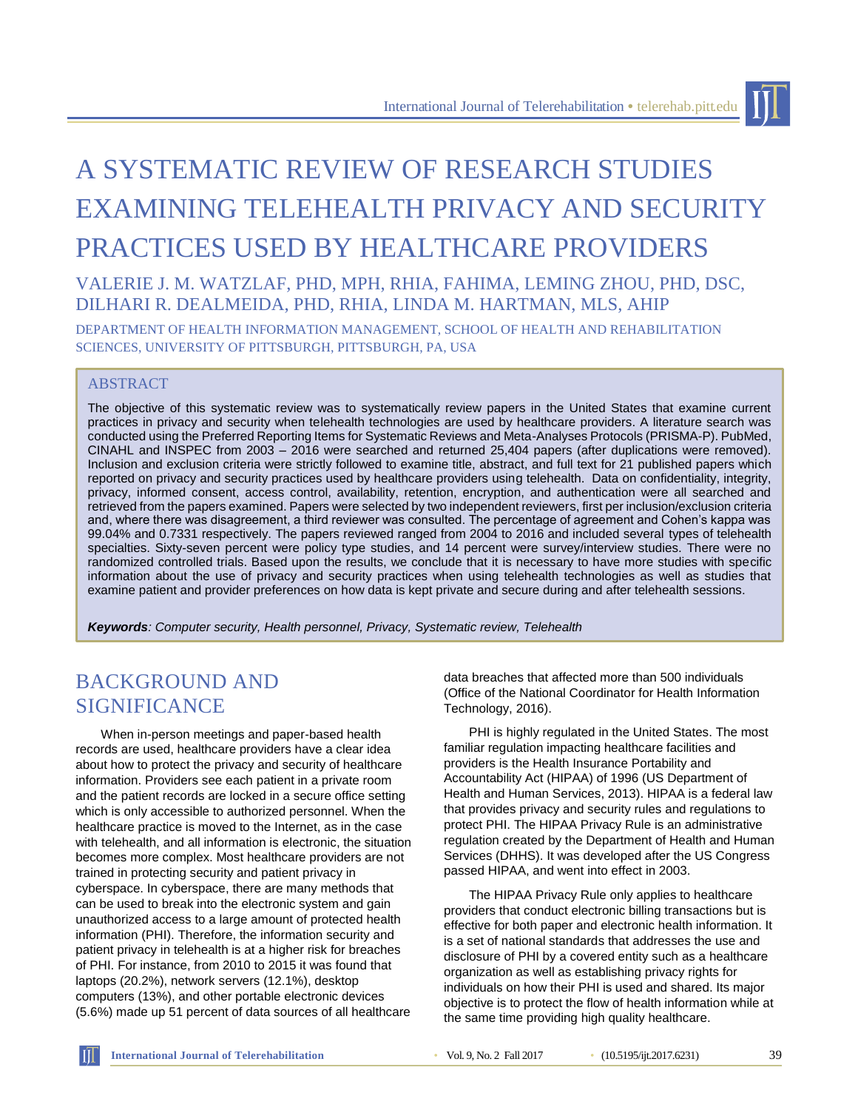# A SYSTEMATIC REVIEW OF RESEARCH STUDIES EXAMINING TELEHEALTH PRIVACY AND SECURITY PRACTICES USED BY HEALTHCARE PROVIDERS

VALERIE J. M. WATZLAF, PHD, MPH, RHIA, FAHIMA, LEMING ZHOU, PHD, DSC, DILHARI R. DEALMEIDA, PHD, RHIA, LINDA M. HARTMAN, MLS, AHIP

DEPARTMENT OF HEALTH INFORMATION MANAGEMENT, SCHOOL OF HEALTH AND REHABILITATION SCIENCES, UNIVERSITY OF PITTSBURGH, PITTSBURGH, PA, USA

#### ABSTRACT

The objective of this systematic review was to systematically review papers in the United States that examine current practices in privacy and security when telehealth technologies are used by healthcare providers. A literature search was conducted using the Preferred Reporting Items for Systematic Reviews and Meta-Analyses Protocols (PRISMA-P). PubMed, CINAHL and INSPEC from 2003 – 2016 were searched and returned 25,404 papers (after duplications were removed). Inclusion and exclusion criteria were strictly followed to examine title, abstract, and full text for 21 published papers which reported on privacy and security practices used by healthcare providers using telehealth. Data on confidentiality, integrity, privacy, informed consent, access control, availability, retention, encryption, and authentication were all searched and retrieved from the papers examined. Papers were selected by two independent reviewers, first per inclusion/exclusion criteria and, where there was disagreement, a third reviewer was consulted. The percentage of agreement and Cohen's kappa was 99.04% and 0.7331 respectively. The papers reviewed ranged from 2004 to 2016 and included several types of telehealth specialties. Sixty-seven percent were policy type studies, and 14 percent were survey/interview studies. There were no randomized controlled trials. Based upon the results, we conclude that it is necessary to have more studies with specific information about the use of privacy and security practices when using telehealth technologies as well as studies that examine patient and provider preferences on how data is kept private and secure during and after telehealth sessions.

*Keywords: Computer security, Health personnel, Privacy, Systematic review, Telehealth*

## BACKGROUND AND SIGNIFICANCE

When in-person meetings and paper-based health records are used, healthcare providers have a clear idea about how to protect the privacy and security of healthcare information. Providers see each patient in a private room and the patient records are locked in a secure office setting which is only accessible to authorized personnel. When the healthcare practice is moved to the Internet, as in the case with telehealth, and all information is electronic, the situation becomes more complex. Most healthcare providers are not trained in protecting security and patient privacy in cyberspace. In cyberspace, there are many methods that can be used to break into the electronic system and gain unauthorized access to a large amount of protected health information (PHI). Therefore, the information security and patient privacy in telehealth is at a higher risk for breaches of PHI. For instance, from 2010 to 2015 it was found that laptops (20.2%), network servers (12.1%), desktop computers (13%), and other portable electronic devices (5.6%) made up 51 percent of data sources of all healthcare data breaches that affected more than 500 individuals (Office of the National Coordinator for Health Information Technology, 2016).

PHI is highly regulated in the United States. The most familiar regulation impacting healthcare facilities and providers is the Health Insurance Portability and Accountability Act (HIPAA) of 1996 (US Department of Health and Human Services, 2013). HIPAA is a federal law that provides privacy and security rules and regulations to protect PHI. The HIPAA Privacy Rule is an administrative regulation created by the Department of Health and Human Services (DHHS). It was developed after the US Congress passed HIPAA, and went into effect in 2003.

The HIPAA Privacy Rule only applies to healthcare providers that conduct electronic billing transactions but is effective for both paper and electronic health information. It is a set of national standards that addresses the use and disclosure of PHI by a covered entity such as a healthcare organization as well as establishing privacy rights for individuals on how their PHI is used and shared. Its major objective is to protect the flow of health information while at the same time providing high quality healthcare.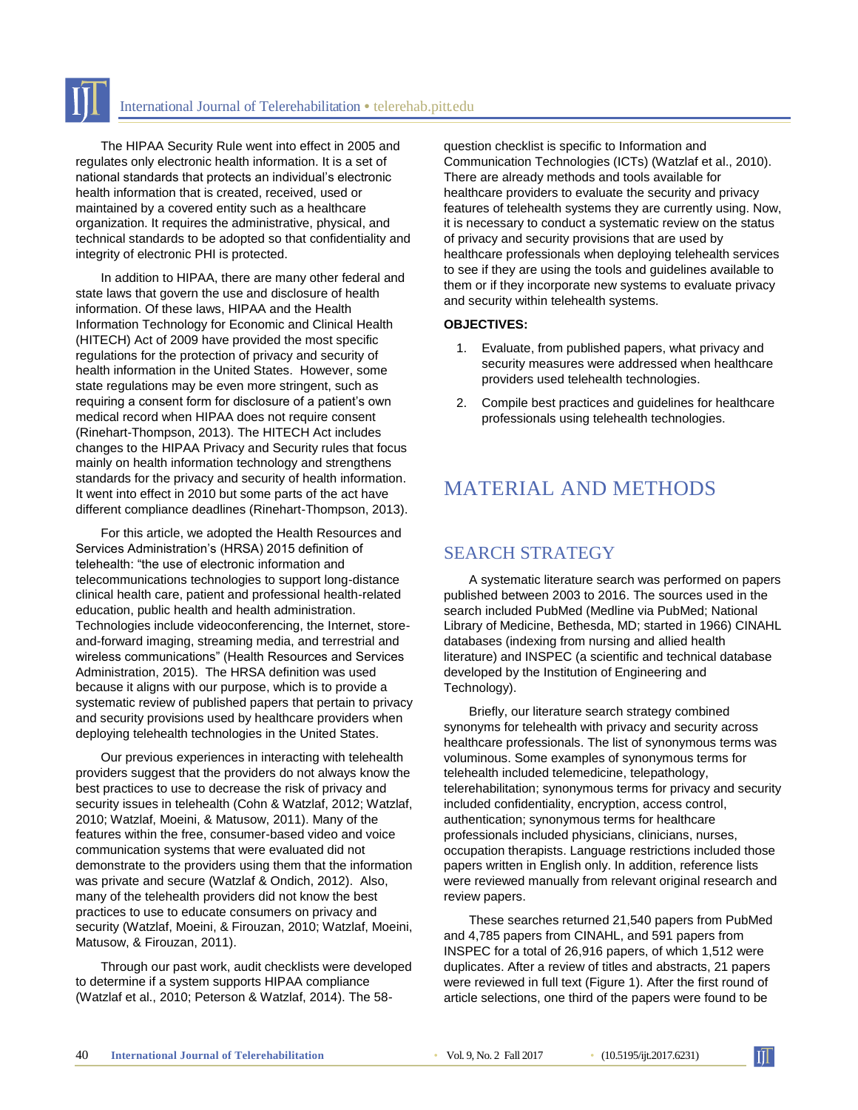The HIPAA Security Rule went into effect in 2005 and regulates only electronic health information. It is a set of national standards that protects an individual's electronic health information that is created, received, used or maintained by a covered entity such as a healthcare organization. It requires the administrative, physical, and technical standards to be adopted so that confidentiality and integrity of electronic PHI is protected.

In addition to HIPAA, there are many other federal and state laws that govern the use and disclosure of health information. Of these laws, HIPAA and the Health Information Technology for Economic and Clinical Health (HITECH) Act of 2009 have provided the most specific regulations for the protection of privacy and security of health information in the United States. However, some state regulations may be even more stringent, such as requiring a consent form for disclosure of a patient's own medical record when HIPAA does not require consent (Rinehart-Thompson, 2013). The HITECH Act includes changes to the HIPAA Privacy and Security rules that focus mainly on health information technology and strengthens standards for the privacy and security of health information. It went into effect in 2010 but some parts of the act have different compliance deadlines (Rinehart-Thompson, 2013).

For this article, we adopted the Health Resources and Services Administration's (HRSA) 2015 definition of telehealth: "the use of electronic information and telecommunications technologies to support long-distance clinical health care, patient and professional health-related education, public health and health administration. Technologies include videoconferencing, the Internet, storeand-forward imaging, streaming media, and terrestrial and wireless communications" (Health Resources and Services Administration, 2015). The HRSA definition was used because it aligns with our purpose, which is to provide a systematic review of published papers that pertain to privacy and security provisions used by healthcare providers when deploying telehealth technologies in the United States.

Our previous experiences in interacting with telehealth providers suggest that the providers do not always know the best practices to use to decrease the risk of privacy and security issues in telehealth (Cohn & Watzlaf, 2012; Watzlaf, 2010; Watzlaf, Moeini, & Matusow, 2011). Many of the features within the free, consumer-based video and voice communication systems that were evaluated did not demonstrate to the providers using them that the information was private and secure (Watzlaf & Ondich, 2012). Also, many of the telehealth providers did not know the best practices to use to educate consumers on privacy and security (Watzlaf, Moeini, & Firouzan, 2010; Watzlaf, Moeini, Matusow, & Firouzan, 2011).

Through our past work, audit checklists were developed to determine if a system supports HIPAA compliance (Watzlaf et al., 2010; Peterson & Watzlaf, 2014). The 58-

question checklist is specific to Information and Communication Technologies (ICTs) (Watzlaf et al., 2010). There are already methods and tools available for healthcare providers to evaluate the security and privacy features of telehealth systems they are currently using. Now, it is necessary to conduct a systematic review on the status of privacy and security provisions that are used by healthcare professionals when deploying telehealth services to see if they are using the tools and guidelines available to them or if they incorporate new systems to evaluate privacy and security within telehealth systems.

#### **OBJECTIVES:**

- 1. Evaluate, from published papers, what privacy and security measures were addressed when healthcare providers used telehealth technologies.
- 2. Compile best practices and guidelines for healthcare professionals using telehealth technologies.

## MATERIAL AND METHODS

### SEARCH STRATEGY

A systematic literature search was performed on papers published between 2003 to 2016. The sources used in the search included PubMed (Medline via PubMed; National Library of Medicine, Bethesda, MD; started in 1966) CINAHL databases (indexing from nursing and allied health literature) and INSPEC (a scientific and technical database developed by the Institution of Engineering and Technology).

Briefly, our literature search strategy combined synonyms for telehealth with privacy and security across healthcare professionals. The list of synonymous terms was voluminous. Some examples of synonymous terms for telehealth included telemedicine, telepathology, telerehabilitation; synonymous terms for privacy and security included confidentiality, encryption, access control, authentication; synonymous terms for healthcare professionals included physicians, clinicians, nurses, occupation therapists. Language restrictions included those papers written in English only. In addition, reference lists were reviewed manually from relevant original research and review papers.

These searches returned 21,540 papers from PubMed and 4,785 papers from CINAHL, and 591 papers from INSPEC for a total of 26,916 papers, of which 1,512 were duplicates. After a review of titles and abstracts, 21 papers were reviewed in full text (Figure 1). After the first round of article selections, one third of the papers were found to be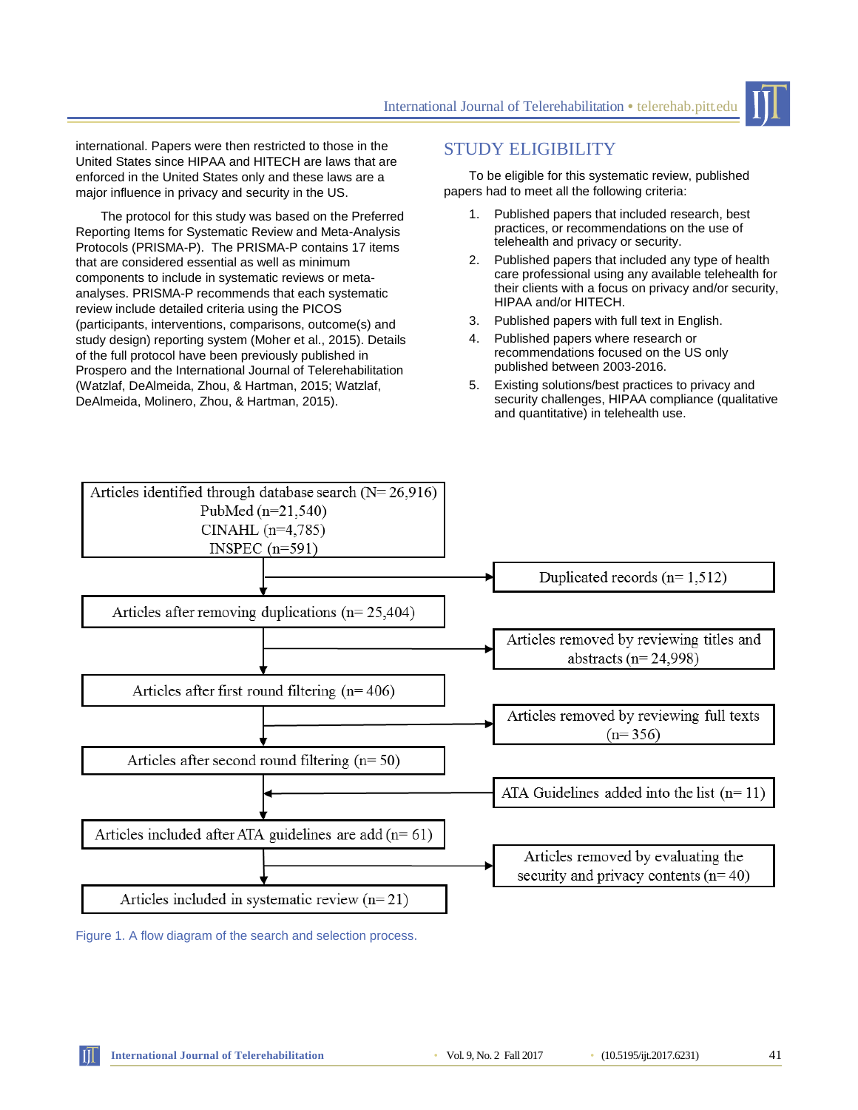international. Papers were then restricted to those in the United States since HIPAA and HITECH are laws that are enforced in the United States only and these laws are a major influence in privacy and security in the US.

The protocol for this study was based on the Preferred Reporting Items for Systematic Review and Meta-Analysis Protocols (PRISMA-P). The PRISMA-P contains 17 items that are considered essential as well as minimum components to include in systematic reviews or metaanalyses. PRISMA-P recommends that each systematic review include detailed criteria using the PICOS (participants, interventions, comparisons, outcome(s) and study design) reporting system (Moher et al., 2015). Details of the full protocol have been previously published in Prospero and the International Journal of Telerehabilitation (Watzlaf, DeAlmeida, Zhou, & Hartman, 2015; Watzlaf, DeAlmeida, Molinero, Zhou, & Hartman, 2015).

### STUDY ELIGIBILITY

To be eligible for this systematic review, published papers had to meet all the following criteria:

- 1. Published papers that included research, best practices, or recommendations on the use of telehealth and privacy or security.
- 2. Published papers that included any type of health care professional using any available telehealth for their clients with a focus on privacy and/or security, HIPAA and/or HITECH.
- 3. Published papers with full text in English.
- 4. Published papers where research or recommendations focused on the US only published between 2003-2016.
- 5. Existing solutions/best practices to privacy and security challenges, HIPAA compliance (qualitative and quantitative) in telehealth use.



Figure 1. A flow diagram of the search and selection process.

Ш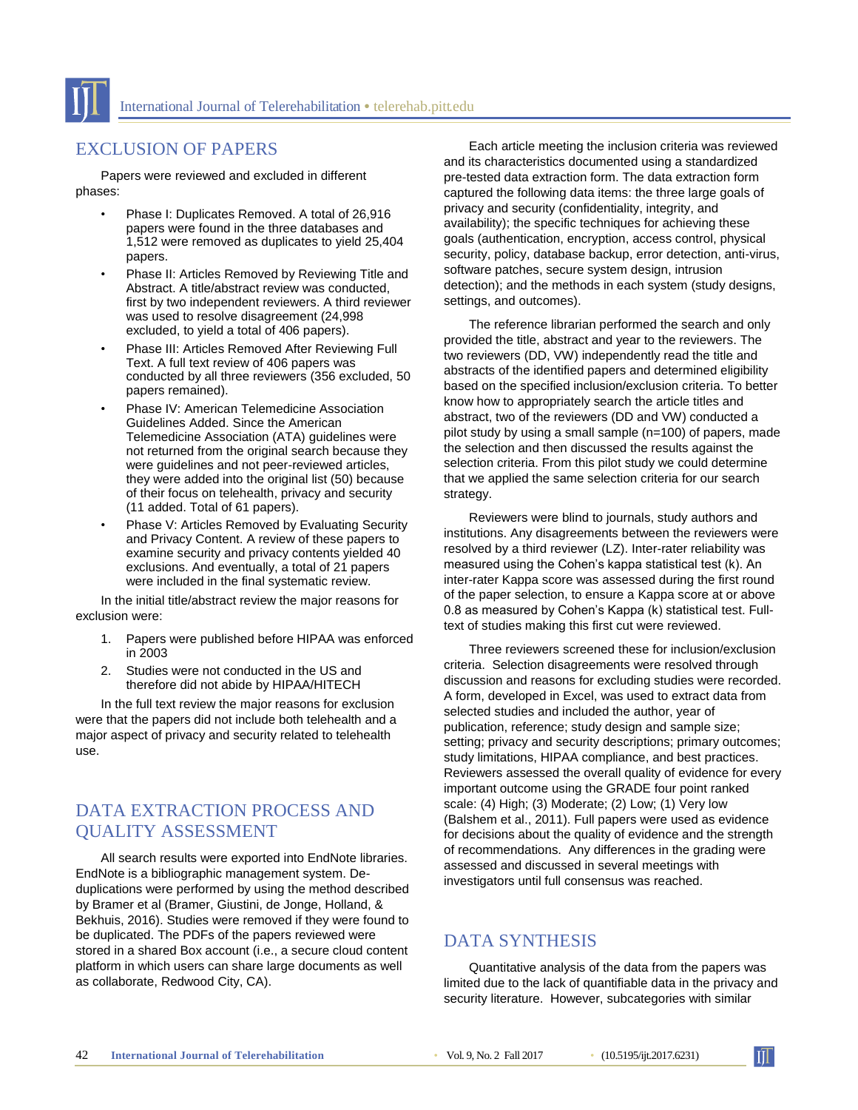### EXCLUSION OF PAPERS

Papers were reviewed and excluded in different phases:

- Phase I: Duplicates Removed. A total of 26,916 papers were found in the three databases and 1,512 were removed as duplicates to yield 25,404 papers.
- Phase II: Articles Removed by Reviewing Title and Abstract. A title/abstract review was conducted, first by two independent reviewers. A third reviewer was used to resolve disagreement (24,998 excluded, to yield a total of 406 papers).
- Phase III: Articles Removed After Reviewing Full Text. A full text review of 406 papers was conducted by all three reviewers (356 excluded, 50 papers remained).
- Phase IV: American Telemedicine Association Guidelines Added. Since the American Telemedicine Association (ATA) guidelines were not returned from the original search because they were guidelines and not peer-reviewed articles, they were added into the original list (50) because of their focus on telehealth, privacy and security (11 added. Total of 61 papers).
- Phase V: Articles Removed by Evaluating Security and Privacy Content. A review of these papers to examine security and privacy contents yielded 40 exclusions. And eventually, a total of 21 papers were included in the final systematic review.

In the initial title/abstract review the major reasons for exclusion were:

- 1. Papers were published before HIPAA was enforced in 2003
- 2. Studies were not conducted in the US and therefore did not abide by HIPAA/HITECH

In the full text review the major reasons for exclusion were that the papers did not include both telehealth and a major aspect of privacy and security related to telehealth use.

### DATA EXTRACTION PROCESS AND QUALITY ASSESSMENT

All search results were exported into EndNote libraries. EndNote is a bibliographic management system. Deduplications were performed by using the method described by Bramer et al (Bramer, Giustini, de Jonge, Holland, & Bekhuis, 2016). Studies were removed if they were found to be duplicated. The PDFs of the papers reviewed were stored in a shared Box account (i.e., a secure cloud content platform in which users can share large documents as well as collaborate, Redwood City, CA).

Each article meeting the inclusion criteria was reviewed and its characteristics documented using a standardized pre-tested data extraction form. The data extraction form captured the following data items: the three large goals of privacy and security (confidentiality, integrity, and availability); the specific techniques for achieving these goals (authentication, encryption, access control, physical security, policy, database backup, error detection, anti-virus, software patches, secure system design, intrusion detection); and the methods in each system (study designs, settings, and outcomes).

The reference librarian performed the search and only provided the title, abstract and year to the reviewers. The two reviewers (DD, VW) independently read the title and abstracts of the identified papers and determined eligibility based on the specified inclusion/exclusion criteria. To better know how to appropriately search the article titles and abstract, two of the reviewers (DD and VW) conducted a pilot study by using a small sample (n=100) of papers, made the selection and then discussed the results against the selection criteria. From this pilot study we could determine that we applied the same selection criteria for our search strategy.

Reviewers were blind to journals, study authors and institutions. Any disagreements between the reviewers were resolved by a third reviewer (LZ). Inter-rater reliability was measured using the Cohen's kappa statistical test (k). An inter-rater Kappa score was assessed during the first round of the paper selection, to ensure a Kappa score at or above 0.8 as measured by Cohen's Kappa (k) statistical test. Fulltext of studies making this first cut were reviewed.

Three reviewers screened these for inclusion/exclusion criteria. Selection disagreements were resolved through discussion and reasons for excluding studies were recorded. A form, developed in Excel, was used to extract data from selected studies and included the author, year of publication, reference; study design and sample size; setting; privacy and security descriptions; primary outcomes; study limitations, HIPAA compliance, and best practices. Reviewers assessed the overall quality of evidence for every important outcome using the GRADE four point ranked scale: (4) High; (3) Moderate; (2) Low; (1) Very low (Balshem et al., 2011). Full papers were used as evidence for decisions about the quality of evidence and the strength of recommendations. Any differences in the grading were assessed and discussed in several meetings with investigators until full consensus was reached.

### DATA SYNTHESIS

Quantitative analysis of the data from the papers was limited due to the lack of quantifiable data in the privacy and security literature. However, subcategories with similar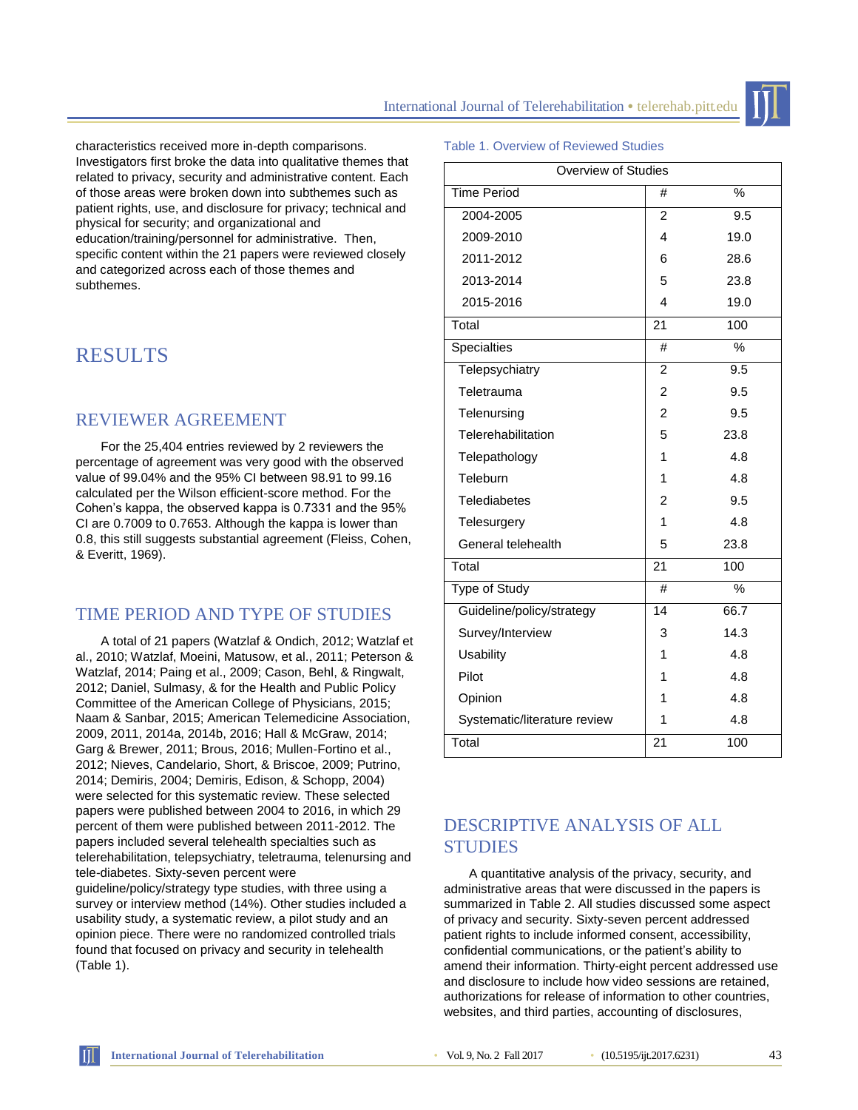characteristics received more in-depth comparisons. Investigators first broke the data into qualitative themes that related to privacy, security and administrative content. Each of those areas were broken down into subthemes such as patient rights, use, and disclosure for privacy; technical and physical for security; and organizational and education/training/personnel for administrative. Then, specific content within the 21 papers were reviewed closely and categorized across each of those themes and subthemes.

## RESULTS

### REVIEWER AGREEMENT

For the 25,404 entries reviewed by 2 reviewers the percentage of agreement was very good with the observed value of 99.04% and the 95% CI between 98.91 to 99.16 calculated per the Wilson efficient-score method. For the Cohen's kappa, the observed kappa is 0.7331 and the 95% CI are 0.7009 to 0.7653. Although the kappa is lower than 0.8, this still suggests substantial agreement (Fleiss, Cohen, & Everitt, 1969).

### TIME PERIOD AND TYPE OF STUDIES

A total of 21 papers (Watzlaf & Ondich, 2012; Watzlaf et al., 2010; Watzlaf, Moeini, Matusow, et al., 2011; Peterson & Watzlaf, 2014; Paing et al., 2009; Cason, Behl, & Ringwalt, 2012; Daniel, Sulmasy, & for the Health and Public Policy Committee of the American College of Physicians, 2015; Naam & Sanbar, 2015; American Telemedicine Association, 2009, 2011, 2014a, 2014b, 2016; Hall & McGraw, 2014; Garg & Brewer, 2011; Brous, 2016; Mullen-Fortino et al., 2012; Nieves, Candelario, Short, & Briscoe, 2009; Putrino, 2014; Demiris, 2004; Demiris, Edison, & Schopp, 2004) were selected for this systematic review. These selected papers were published between 2004 to 2016, in which 29 percent of them were published between 2011-2012. The papers included several telehealth specialties such as telerehabilitation, telepsychiatry, teletrauma, telenursing and tele-diabetes. Sixty-seven percent were guideline/policy/strategy type studies, with three using a survey or interview method (14%). Other studies included a usability study, a systematic review, a pilot study and an opinion piece. There were no randomized controlled trials found that focused on privacy and security in telehealth (Table 1).

#### Table 1. Overview of Reviewed Studies

| Overview of Studies          |                |      |  |  |  |  |  |
|------------------------------|----------------|------|--|--|--|--|--|
| <b>Time Period</b>           | #              | $\%$ |  |  |  |  |  |
| 2004-2005                    | 2              | 9.5  |  |  |  |  |  |
| 2009-2010                    | 4              | 19.0 |  |  |  |  |  |
| 2011-2012                    | 6              | 28.6 |  |  |  |  |  |
| 2013-2014                    | 5              | 23.8 |  |  |  |  |  |
| 2015-2016                    | 4              | 19.0 |  |  |  |  |  |
| Total                        | 21             | 100  |  |  |  |  |  |
| Specialties                  | #              | %    |  |  |  |  |  |
| Telepsychiatry               | $\overline{2}$ | 9.5  |  |  |  |  |  |
| Teletrauma                   | 2              | 9.5  |  |  |  |  |  |
| Telenursing                  | $\overline{2}$ | 9.5  |  |  |  |  |  |
| Telerehabilitation           | 5              | 23.8 |  |  |  |  |  |
| Telepathology                | 1              | 4.8  |  |  |  |  |  |
| Teleburn                     | 1              | 4.8  |  |  |  |  |  |
| <b>Telediabetes</b>          | 2              | 9.5  |  |  |  |  |  |
| Telesurgery                  | 1              | 4.8  |  |  |  |  |  |
| General telehealth           | 5              | 23.8 |  |  |  |  |  |
| Total                        | 21             | 100  |  |  |  |  |  |
| Type of Study                | #              | $\%$ |  |  |  |  |  |
| Guideline/policy/strategy    | 14             | 66.7 |  |  |  |  |  |
| Survey/Interview             | 3              | 14.3 |  |  |  |  |  |
| <b>Usability</b>             | 1              | 4.8  |  |  |  |  |  |
| Pilot                        | 1              | 4.8  |  |  |  |  |  |
| Opinion                      | 1              | 4.8  |  |  |  |  |  |
| Systematic/literature review | 1              | 4.8  |  |  |  |  |  |
| Total                        | 21             | 100  |  |  |  |  |  |

### DESCRIPTIVE ANALYSIS OF ALL **STUDIES**

A quantitative analysis of the privacy, security, and administrative areas that were discussed in the papers is summarized in Table 2. All studies discussed some aspect of privacy and security. Sixty-seven percent addressed patient rights to include informed consent, accessibility, confidential communications, or the patient's ability to amend their information. Thirty-eight percent addressed use and disclosure to include how video sessions are retained, authorizations for release of information to other countries, websites, and third parties, accounting of disclosures,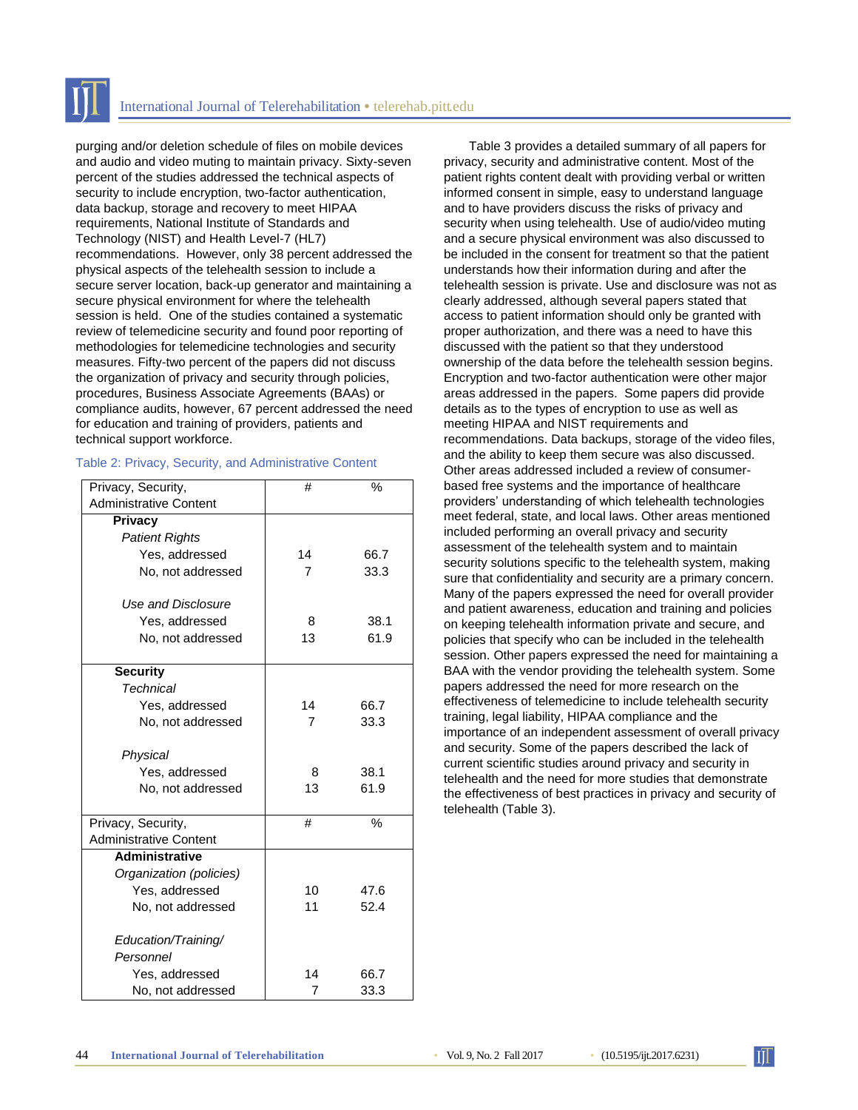purging and/or deletion schedule of files on mobile devices and audio and video muting to maintain privacy. Sixty-seven percent of the studies addressed the technical aspects of security to include encryption, two-factor authentication, data backup, storage and recovery to meet HIPAA requirements, National Institute of Standards and Technology (NIST) and Health Level-7 (HL7) recommendations. However, only 38 percent addressed the physical aspects of the telehealth session to include a secure server location, back-up generator and maintaining a secure physical environment for where the telehealth session is held. One of the studies contained a systematic review of telemedicine security and found poor reporting of methodologies for telemedicine technologies and security measures. Fifty-two percent of the papers did not discuss the organization of privacy and security through policies, procedures, Business Associate Agreements (BAAs) or compliance audits, however, 67 percent addressed the need for education and training of providers, patients and technical support workforce.

| Privacy, Security,            | #               | %    |
|-------------------------------|-----------------|------|
| <b>Administrative Content</b> |                 |      |
| Privacy                       |                 |      |
| <b>Patient Rights</b>         |                 |      |
| Yes, addressed                | 14              | 66.7 |
| No, not addressed             | $\overline{7}$  | 33.3 |
| Use and Disclosure            |                 |      |
| Yes, addressed                | 8               | 38.1 |
| No, not addressed             | 13              | 61.9 |
|                               |                 |      |
| <b>Security</b>               |                 |      |
| Technical                     |                 |      |
| Yes, addressed                | 14              | 66.7 |
| No, not addressed             | 7               | 33.3 |
| Physical                      |                 |      |
| Yes, addressed                | 8               | 38.1 |
| No, not addressed             | 13              | 61.9 |
|                               |                 |      |
| Privacy, Security,            | #               | $\%$ |
| <b>Administrative Content</b> |                 |      |
| <b>Administrative</b>         |                 |      |
| Organization (policies)       |                 |      |
| Yes, addressed                | 10 <sup>1</sup> | 47.6 |
| No, not addressed             | 11              | 52.4 |
| Education/Training/           |                 |      |
| Personnel                     |                 |      |
| Yes, addressed                | 14              | 66.7 |
| No, not addressed             | 7               | 33.3 |

#### Table 2: Privacy, Security, and Administrative Content

Table 3 provides a detailed summary of all papers for privacy, security and administrative content. Most of the patient rights content dealt with providing verbal or written informed consent in simple, easy to understand language and to have providers discuss the risks of privacy and security when using telehealth. Use of audio/video muting and a secure physical environment was also discussed to be included in the consent for treatment so that the patient understands how their information during and after the telehealth session is private. Use and disclosure was not as clearly addressed, although several papers stated that access to patient information should only be granted with proper authorization, and there was a need to have this discussed with the patient so that they understood ownership of the data before the telehealth session begins. Encryption and two-factor authentication were other major areas addressed in the papers. Some papers did provide details as to the types of encryption to use as well as meeting HIPAA and NIST requirements and recommendations. Data backups, storage of the video files, and the ability to keep them secure was also discussed. Other areas addressed included a review of consumerbased free systems and the importance of healthcare providers' understanding of which telehealth technologies meet federal, state, and local laws. Other areas mentioned included performing an overall privacy and security assessment of the telehealth system and to maintain security solutions specific to the telehealth system, making sure that confidentiality and security are a primary concern. Many of the papers expressed the need for overall provider and patient awareness, education and training and policies on keeping telehealth information private and secure, and policies that specify who can be included in the telehealth session. Other papers expressed the need for maintaining a BAA with the vendor providing the telehealth system. Some papers addressed the need for more research on the effectiveness of telemedicine to include telehealth security training, legal liability, HIPAA compliance and the importance of an independent assessment of overall privacy and security. Some of the papers described the lack of current scientific studies around privacy and security in telehealth and the need for more studies that demonstrate the effectiveness of best practices in privacy and security of telehealth (Table 3).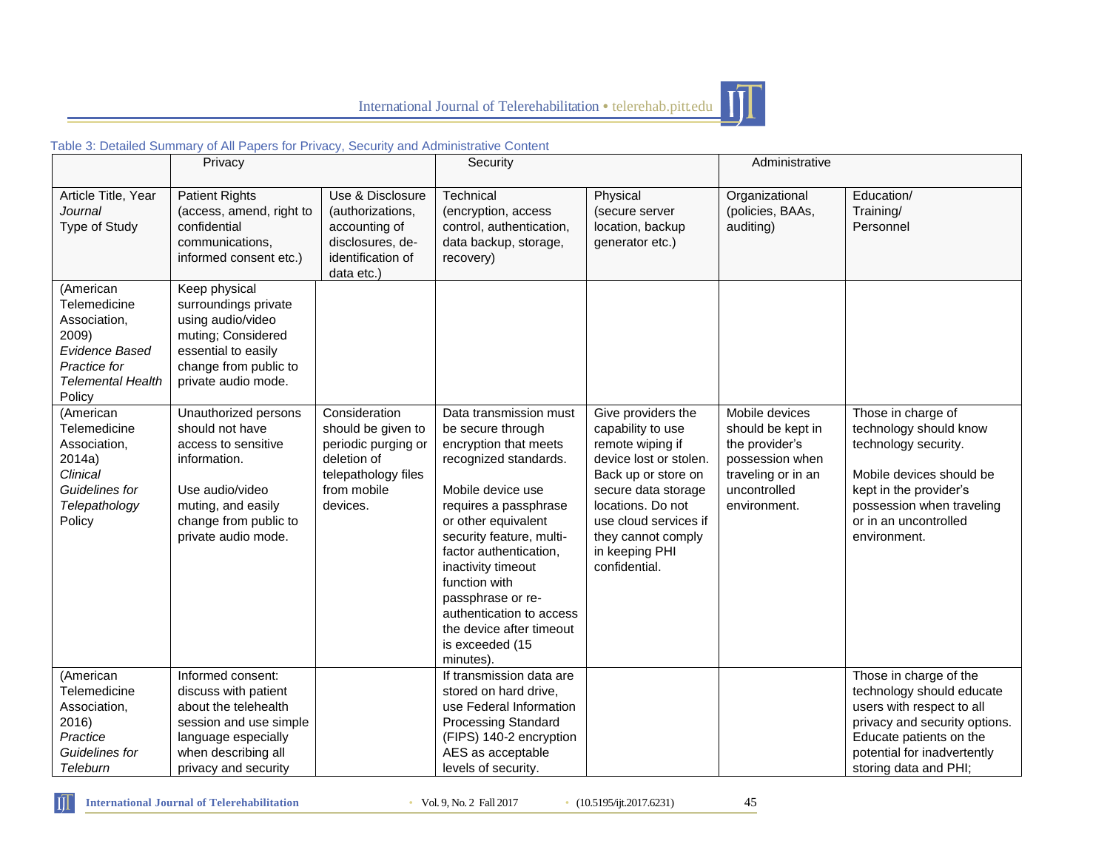

#### Table 3: Detailed Summary of All Papers for Privacy, Security and Administrative Content

|                                                                                                                                   | Privacy                                                                                                                                                                 |                                                                                                                             | Security                                                                                                                                                                                                                                                                                                                                                                     |                                                                                                                                                                                                                                            | Administrative                                                                                                                 |                                                                                                                                                                                                      |
|-----------------------------------------------------------------------------------------------------------------------------------|-------------------------------------------------------------------------------------------------------------------------------------------------------------------------|-----------------------------------------------------------------------------------------------------------------------------|------------------------------------------------------------------------------------------------------------------------------------------------------------------------------------------------------------------------------------------------------------------------------------------------------------------------------------------------------------------------------|--------------------------------------------------------------------------------------------------------------------------------------------------------------------------------------------------------------------------------------------|--------------------------------------------------------------------------------------------------------------------------------|------------------------------------------------------------------------------------------------------------------------------------------------------------------------------------------------------|
| Article Title, Year<br>Journal<br>Type of Study                                                                                   | <b>Patient Rights</b><br>(access, amend, right to<br>confidential<br>communications,<br>informed consent etc.)                                                          | Use & Disclosure<br>(authorizations,<br>accounting of<br>disclosures, de-<br>identification of<br>data etc.)                | Technical<br>(encryption, access<br>control, authentication,<br>data backup, storage,<br>recovery)                                                                                                                                                                                                                                                                           | Physical<br>(secure server<br>location, backup<br>generator etc.)                                                                                                                                                                          | Organizational<br>(policies, BAAs,<br>auditing)                                                                                | Education/<br>Training/<br>Personnel                                                                                                                                                                 |
| (American<br>Telemedicine<br>Association,<br>2009)<br><b>Evidence Based</b><br>Practice for<br><b>Telemental Health</b><br>Policy | Keep physical<br>surroundings private<br>using audio/video<br>muting; Considered<br>essential to easily<br>change from public to<br>private audio mode.                 |                                                                                                                             |                                                                                                                                                                                                                                                                                                                                                                              |                                                                                                                                                                                                                                            |                                                                                                                                |                                                                                                                                                                                                      |
| (American<br>Telemedicine<br>Association,<br>2014a)<br>Clinical<br>Guidelines for<br>Telepathology<br>Policy                      | Unauthorized persons<br>should not have<br>access to sensitive<br>information.<br>Use audio/video<br>muting, and easily<br>change from public to<br>private audio mode. | Consideration<br>should be given to<br>periodic purging or<br>deletion of<br>telepathology files<br>from mobile<br>devices. | Data transmission must<br>be secure through<br>encryption that meets<br>recognized standards.<br>Mobile device use<br>requires a passphrase<br>or other equivalent<br>security feature, multi-<br>factor authentication,<br>inactivity timeout<br>function with<br>passphrase or re-<br>authentication to access<br>the device after timeout<br>is exceeded (15<br>minutes). | Give providers the<br>capability to use<br>remote wiping if<br>device lost or stolen.<br>Back up or store on<br>secure data storage<br>locations. Do not<br>use cloud services if<br>they cannot comply<br>in keeping PHI<br>confidential. | Mobile devices<br>should be kept in<br>the provider's<br>possession when<br>traveling or in an<br>uncontrolled<br>environment. | Those in charge of<br>technology should know<br>technology security.<br>Mobile devices should be<br>kept in the provider's<br>possession when traveling<br>or in an uncontrolled<br>environment.     |
| (American<br>Telemedicine<br>Association,<br>2016)<br>Practice<br>Guidelines for<br>Teleburn                                      | Informed consent:<br>discuss with patient<br>about the telehealth<br>session and use simple<br>language especially<br>when describing all<br>privacy and security       |                                                                                                                             | If transmission data are<br>stored on hard drive,<br>use Federal Information<br><b>Processing Standard</b><br>(FIPS) 140-2 encryption<br>AES as acceptable<br>levels of security.                                                                                                                                                                                            |                                                                                                                                                                                                                                            |                                                                                                                                | Those in charge of the<br>technology should educate<br>users with respect to all<br>privacy and security options.<br>Educate patients on the<br>potential for inadvertently<br>storing data and PHI; |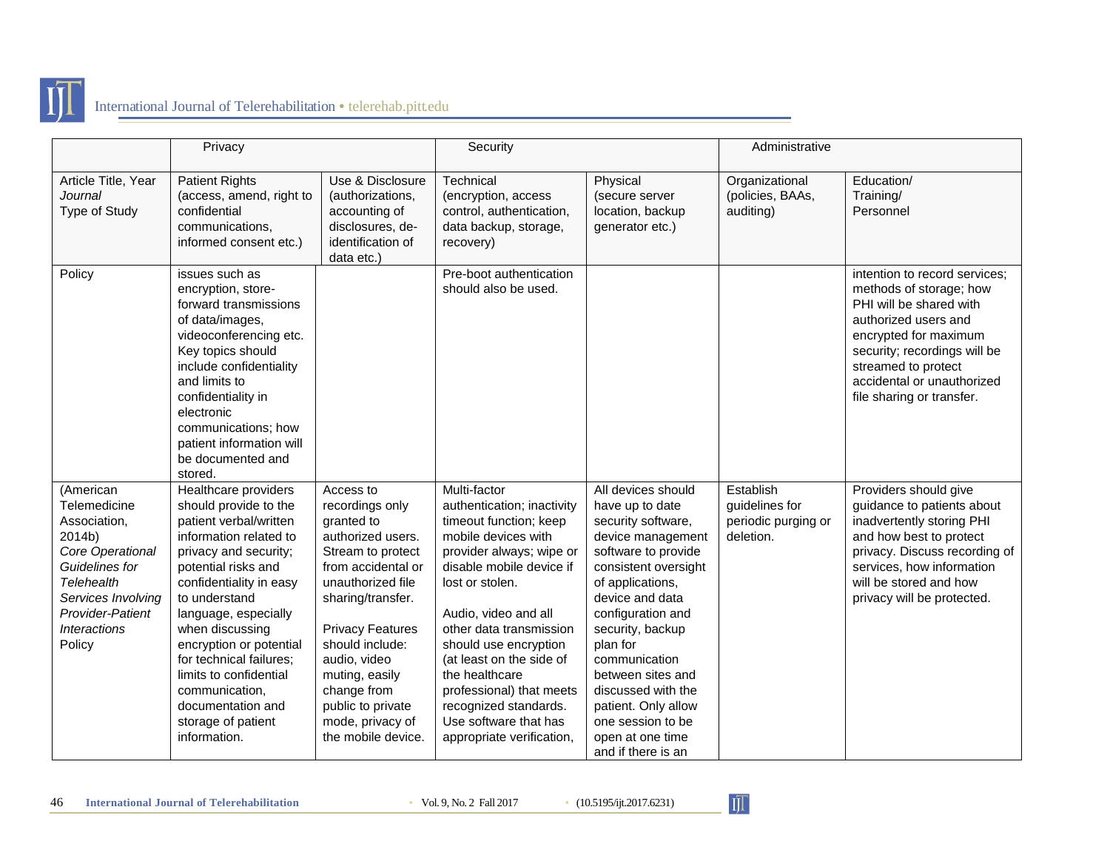

|                                                                                                                                                                                                  | Privacy                                                                                                                                                                                                                                                                                                                                                                                               |                                                                                                                                                                                                                                                                                                                    | Security                                                                                                                                                                                                                                                                                                                                                                                                    |                                                                                                                                                                                                                                                                                                                                                                               | Administrative                                                  |                                                                                                                                                                                                                                                        |
|--------------------------------------------------------------------------------------------------------------------------------------------------------------------------------------------------|-------------------------------------------------------------------------------------------------------------------------------------------------------------------------------------------------------------------------------------------------------------------------------------------------------------------------------------------------------------------------------------------------------|--------------------------------------------------------------------------------------------------------------------------------------------------------------------------------------------------------------------------------------------------------------------------------------------------------------------|-------------------------------------------------------------------------------------------------------------------------------------------------------------------------------------------------------------------------------------------------------------------------------------------------------------------------------------------------------------------------------------------------------------|-------------------------------------------------------------------------------------------------------------------------------------------------------------------------------------------------------------------------------------------------------------------------------------------------------------------------------------------------------------------------------|-----------------------------------------------------------------|--------------------------------------------------------------------------------------------------------------------------------------------------------------------------------------------------------------------------------------------------------|
| Article Title, Year<br>Journal<br>Type of Study                                                                                                                                                  | <b>Patient Rights</b><br>(access, amend, right to<br>confidential<br>communications,<br>informed consent etc.)                                                                                                                                                                                                                                                                                        | Use & Disclosure<br>(authorizations,<br>accounting of<br>disclosures, de-<br>identification of<br>data etc.)                                                                                                                                                                                                       | Technical<br>(encryption, access<br>control, authentication,<br>data backup, storage,<br>recovery)                                                                                                                                                                                                                                                                                                          | Physical<br>(secure server<br>location, backup<br>generator etc.)                                                                                                                                                                                                                                                                                                             | Organizational<br>(policies, BAAs,<br>auditing)                 | Education/<br>Training/<br>Personnel                                                                                                                                                                                                                   |
| Policy                                                                                                                                                                                           | issues such as<br>encryption, store-<br>forward transmissions<br>of data/images,<br>videoconferencing etc.<br>Key topics should<br>include confidentiality<br>and limits to<br>confidentiality in<br>electronic<br>communications; how<br>patient information will<br>be documented and<br>stored.                                                                                                    |                                                                                                                                                                                                                                                                                                                    | Pre-boot authentication<br>should also be used.                                                                                                                                                                                                                                                                                                                                                             |                                                                                                                                                                                                                                                                                                                                                                               |                                                                 | intention to record services:<br>methods of storage; how<br>PHI will be shared with<br>authorized users and<br>encrypted for maximum<br>security; recordings will be<br>streamed to protect<br>accidental or unauthorized<br>file sharing or transfer. |
| (American<br>Telemedicine<br>Association,<br>2014b)<br>Core Operational<br>Guidelines for<br><b>Telehealth</b><br>Services Involving<br>Provider-Patient<br><i><b>Interactions</b></i><br>Policy | Healthcare providers<br>should provide to the<br>patient verbal/written<br>information related to<br>privacy and security;<br>potential risks and<br>confidentiality in easy<br>to understand<br>language, especially<br>when discussing<br>encryption or potential<br>for technical failures;<br>limits to confidential<br>communication.<br>documentation and<br>storage of patient<br>information. | Access to<br>recordings only<br>granted to<br>authorized users.<br>Stream to protect<br>from accidental or<br>unauthorized file<br>sharing/transfer.<br><b>Privacy Features</b><br>should include:<br>audio, video<br>muting, easily<br>change from<br>public to private<br>mode, privacy of<br>the mobile device. | Multi-factor<br>authentication; inactivity<br>timeout function; keep<br>mobile devices with<br>provider always; wipe or<br>disable mobile device if<br>lost or stolen.<br>Audio, video and all<br>other data transmission<br>should use encryption<br>(at least on the side of<br>the healthcare<br>professional) that meets<br>recognized standards.<br>Use software that has<br>appropriate verification, | All devices should<br>have up to date<br>security software,<br>device management<br>software to provide<br>consistent oversight<br>of applications,<br>device and data<br>configuration and<br>security, backup<br>plan for<br>communication<br>between sites and<br>discussed with the<br>patient. Only allow<br>one session to be<br>open at one time<br>and if there is an | Establish<br>guidelines for<br>periodic purging or<br>deletion. | Providers should give<br>guidance to patients about<br>inadvertently storing PHI<br>and how best to protect<br>privacy. Discuss recording of<br>services, how information<br>will be stored and how<br>privacy will be protected.                      |

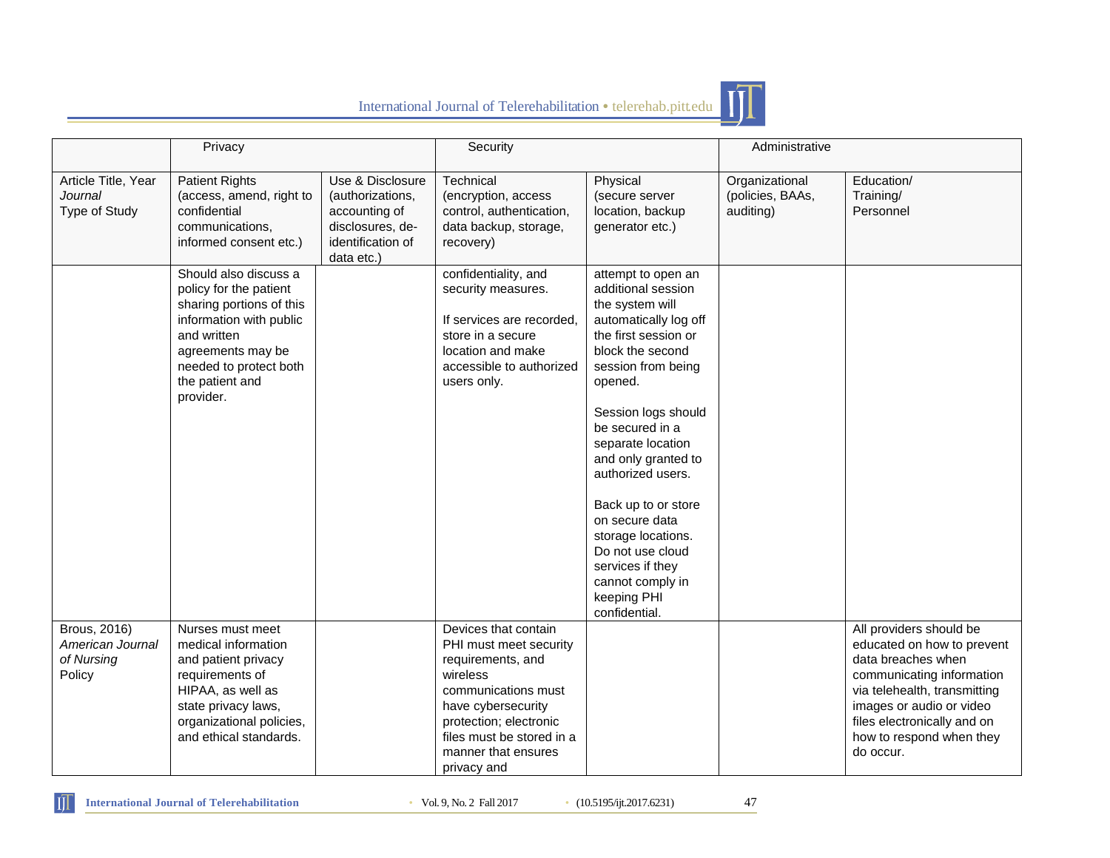



|                                                          | Privacy                                                                                                                                                                                              |                                                                                                              | Security                                                                                                                                                                                                                  |                                                                                                                                                                                                                                                                                                                                                                                                                                         | Administrative                                  |                                                                                                                                                                                                                                              |
|----------------------------------------------------------|------------------------------------------------------------------------------------------------------------------------------------------------------------------------------------------------------|--------------------------------------------------------------------------------------------------------------|---------------------------------------------------------------------------------------------------------------------------------------------------------------------------------------------------------------------------|-----------------------------------------------------------------------------------------------------------------------------------------------------------------------------------------------------------------------------------------------------------------------------------------------------------------------------------------------------------------------------------------------------------------------------------------|-------------------------------------------------|----------------------------------------------------------------------------------------------------------------------------------------------------------------------------------------------------------------------------------------------|
| Article Title, Year<br>Journal<br>Type of Study          | <b>Patient Rights</b><br>(access, amend, right to<br>confidential<br>communications,<br>informed consent etc.)                                                                                       | Use & Disclosure<br>(authorizations,<br>accounting of<br>disclosures, de-<br>identification of<br>data etc.) | Technical<br>(encryption, access<br>control, authentication,<br>data backup, storage,<br>recovery)                                                                                                                        | Physical<br>(secure server<br>location, backup<br>generator etc.)                                                                                                                                                                                                                                                                                                                                                                       | Organizational<br>(policies, BAAs,<br>auditing) | Education/<br>Training/<br>Personnel                                                                                                                                                                                                         |
|                                                          | Should also discuss a<br>policy for the patient<br>sharing portions of this<br>information with public<br>and written<br>agreements may be<br>needed to protect both<br>the patient and<br>provider. |                                                                                                              | confidentiality, and<br>security measures.<br>If services are recorded.<br>store in a secure<br>location and make<br>accessible to authorized<br>users only.                                                              | attempt to open an<br>additional session<br>the system will<br>automatically log off<br>the first session or<br>block the second<br>session from being<br>opened.<br>Session logs should<br>be secured in a<br>separate location<br>and only granted to<br>authorized users.<br>Back up to or store<br>on secure data<br>storage locations.<br>Do not use cloud<br>services if they<br>cannot comply in<br>keeping PHI<br>confidential. |                                                 |                                                                                                                                                                                                                                              |
| Brous, 2016)<br>American Journal<br>of Nursing<br>Policy | Nurses must meet<br>medical information<br>and patient privacy<br>requirements of<br>HIPAA, as well as<br>state privacy laws,<br>organizational policies,<br>and ethical standards.                  |                                                                                                              | Devices that contain<br>PHI must meet security<br>requirements, and<br>wireless<br>communications must<br>have cybersecurity<br>protection; electronic<br>files must be stored in a<br>manner that ensures<br>privacy and |                                                                                                                                                                                                                                                                                                                                                                                                                                         |                                                 | All providers should be<br>educated on how to prevent<br>data breaches when<br>communicating information<br>via telehealth, transmitting<br>images or audio or video<br>files electronically and on<br>how to respond when they<br>do occur. |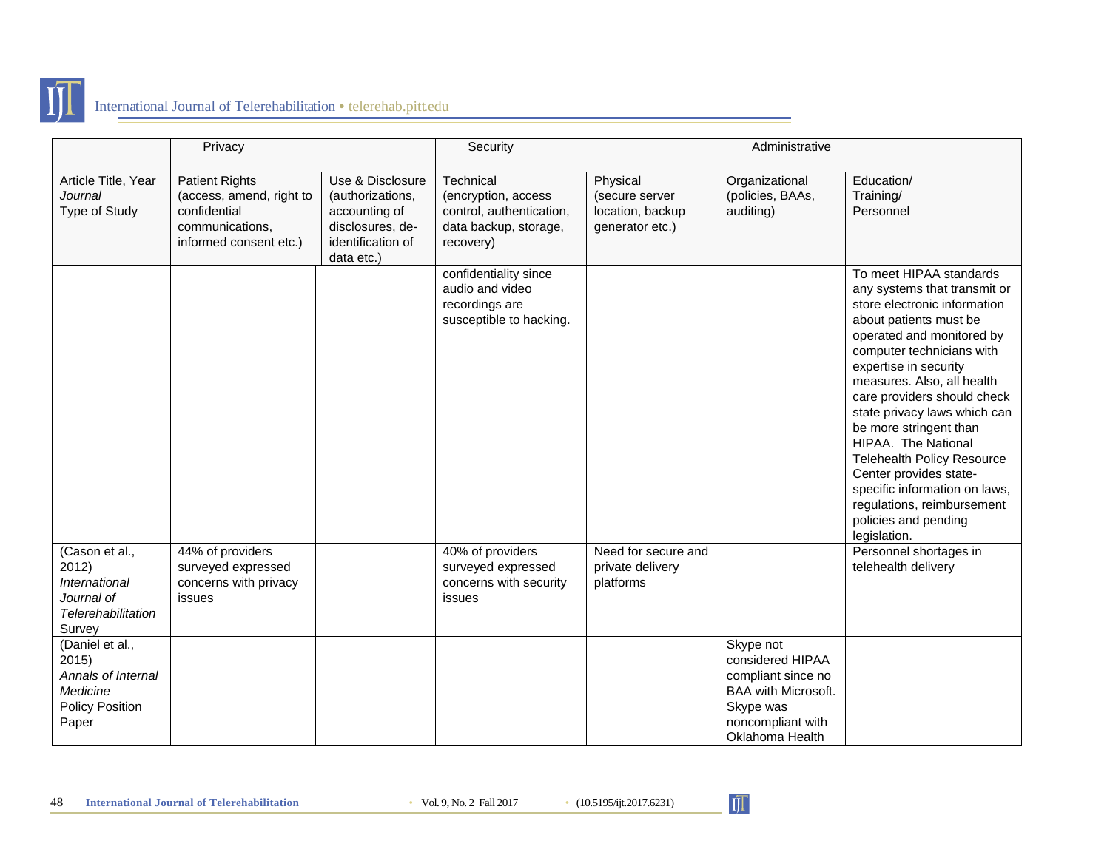

|                                                                                                      | Privacy                                                                                                        |                                                                                                              | Security                                                                                           |                                                                   | Administrative                                                                                                                         |                                                                                                                                                                                                                                                                                                                                                                                                                                                                                                                          |
|------------------------------------------------------------------------------------------------------|----------------------------------------------------------------------------------------------------------------|--------------------------------------------------------------------------------------------------------------|----------------------------------------------------------------------------------------------------|-------------------------------------------------------------------|----------------------------------------------------------------------------------------------------------------------------------------|--------------------------------------------------------------------------------------------------------------------------------------------------------------------------------------------------------------------------------------------------------------------------------------------------------------------------------------------------------------------------------------------------------------------------------------------------------------------------------------------------------------------------|
| Article Title, Year<br>Journal<br>Type of Study                                                      | <b>Patient Rights</b><br>(access, amend, right to<br>confidential<br>communications,<br>informed consent etc.) | Use & Disclosure<br>(authorizations,<br>accounting of<br>disclosures, de-<br>identification of<br>data etc.) | Technical<br>(encryption, access<br>control, authentication,<br>data backup, storage,<br>recovery) | Physical<br>(secure server<br>location, backup<br>generator etc.) | Organizational<br>(policies, BAAs,<br>auditing)                                                                                        | Education/<br>Training/<br>Personnel                                                                                                                                                                                                                                                                                                                                                                                                                                                                                     |
|                                                                                                      |                                                                                                                |                                                                                                              | confidentiality since<br>audio and video<br>recordings are<br>susceptible to hacking.              |                                                                   |                                                                                                                                        | To meet HIPAA standards<br>any systems that transmit or<br>store electronic information<br>about patients must be<br>operated and monitored by<br>computer technicians with<br>expertise in security<br>measures. Also, all health<br>care providers should check<br>state privacy laws which can<br>be more stringent than<br>HIPAA. The National<br><b>Telehealth Policy Resource</b><br>Center provides state-<br>specific information on laws,<br>regulations, reimbursement<br>policies and pending<br>legislation. |
| (Cason et al.,<br>2012)<br><i><b>International</b></i><br>Journal of<br>Telerehabilitation<br>Survey | 44% of providers<br>surveyed expressed<br>concerns with privacy<br>issues                                      |                                                                                                              | 40% of providers<br>surveyed expressed<br>concerns with security<br>issues                         | Need for secure and<br>private delivery<br>platforms              |                                                                                                                                        | Personnel shortages in<br>telehealth delivery                                                                                                                                                                                                                                                                                                                                                                                                                                                                            |
| (Daniel et al.,<br>2015)<br>Annals of Internal<br>Medicine<br><b>Policy Position</b><br>Paper        |                                                                                                                |                                                                                                              |                                                                                                    |                                                                   | Skype not<br>considered HIPAA<br>compliant since no<br><b>BAA with Microsoft.</b><br>Skype was<br>noncompliant with<br>Oklahoma Health |                                                                                                                                                                                                                                                                                                                                                                                                                                                                                                                          |

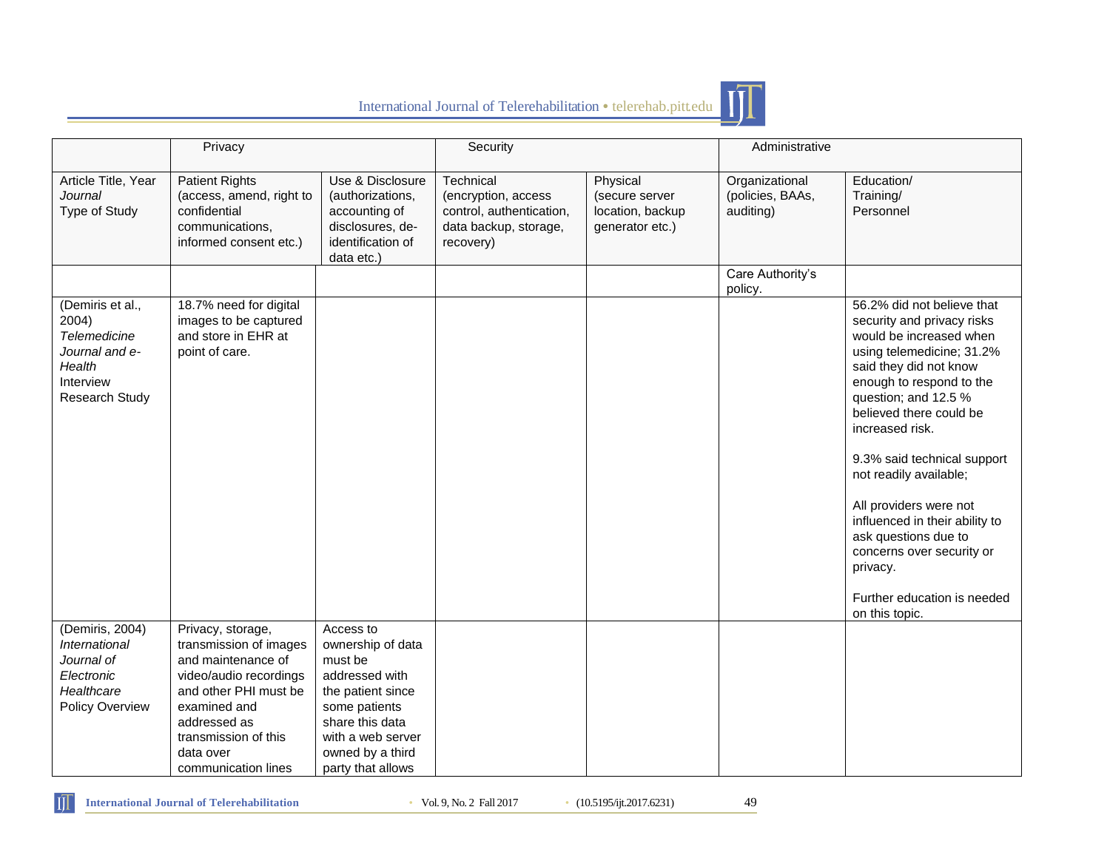

|                                                                                                             | Privacy                                                                                                                                                                                                          |                                                                                                                                                                                    | Security                                                                                           |                                                                   | Administrative                                  |                                                                                                                                                                                                                                                                                                                                                                                                                                                                                     |
|-------------------------------------------------------------------------------------------------------------|------------------------------------------------------------------------------------------------------------------------------------------------------------------------------------------------------------------|------------------------------------------------------------------------------------------------------------------------------------------------------------------------------------|----------------------------------------------------------------------------------------------------|-------------------------------------------------------------------|-------------------------------------------------|-------------------------------------------------------------------------------------------------------------------------------------------------------------------------------------------------------------------------------------------------------------------------------------------------------------------------------------------------------------------------------------------------------------------------------------------------------------------------------------|
| Article Title, Year<br>Journal<br>Type of Study                                                             | <b>Patient Rights</b><br>(access, amend, right to<br>confidential<br>communications,<br>informed consent etc.)                                                                                                   | Use & Disclosure<br>(authorizations,<br>accounting of<br>disclosures, de-<br>identification of<br>data etc.)                                                                       | Technical<br>(encryption, access<br>control, authentication,<br>data backup, storage,<br>recovery) | Physical<br>(secure server<br>location, backup<br>generator etc.) | Organizational<br>(policies, BAAs,<br>auditing) | Education/<br>Training/<br>Personnel                                                                                                                                                                                                                                                                                                                                                                                                                                                |
|                                                                                                             |                                                                                                                                                                                                                  |                                                                                                                                                                                    |                                                                                                    |                                                                   | Care Authority's<br>policy.                     |                                                                                                                                                                                                                                                                                                                                                                                                                                                                                     |
| (Demiris et al.,<br>2004)<br>Telemedicine<br>Journal and e-<br>Health<br>Interview<br><b>Research Study</b> | 18.7% need for digital<br>images to be captured<br>and store in EHR at<br>point of care.                                                                                                                         |                                                                                                                                                                                    |                                                                                                    |                                                                   |                                                 | 56.2% did not believe that<br>security and privacy risks<br>would be increased when<br>using telemedicine; 31.2%<br>said they did not know<br>enough to respond to the<br>question; and 12.5 %<br>believed there could be<br>increased risk.<br>9.3% said technical support<br>not readily available;<br>All providers were not<br>influenced in their ability to<br>ask questions due to<br>concerns over security or<br>privacy.<br>Further education is needed<br>on this topic. |
| (Demiris, $2004$ )<br>International<br>Journal of<br>Electronic<br>Healthcare<br>Policy Overview            | Privacy, storage,<br>transmission of images<br>and maintenance of<br>video/audio recordings<br>and other PHI must be<br>examined and<br>addressed as<br>transmission of this<br>data over<br>communication lines | Access to<br>ownership of data<br>must be<br>addressed with<br>the patient since<br>some patients<br>share this data<br>with a web server<br>owned by a third<br>party that allows |                                                                                                    |                                                                   |                                                 |                                                                                                                                                                                                                                                                                                                                                                                                                                                                                     |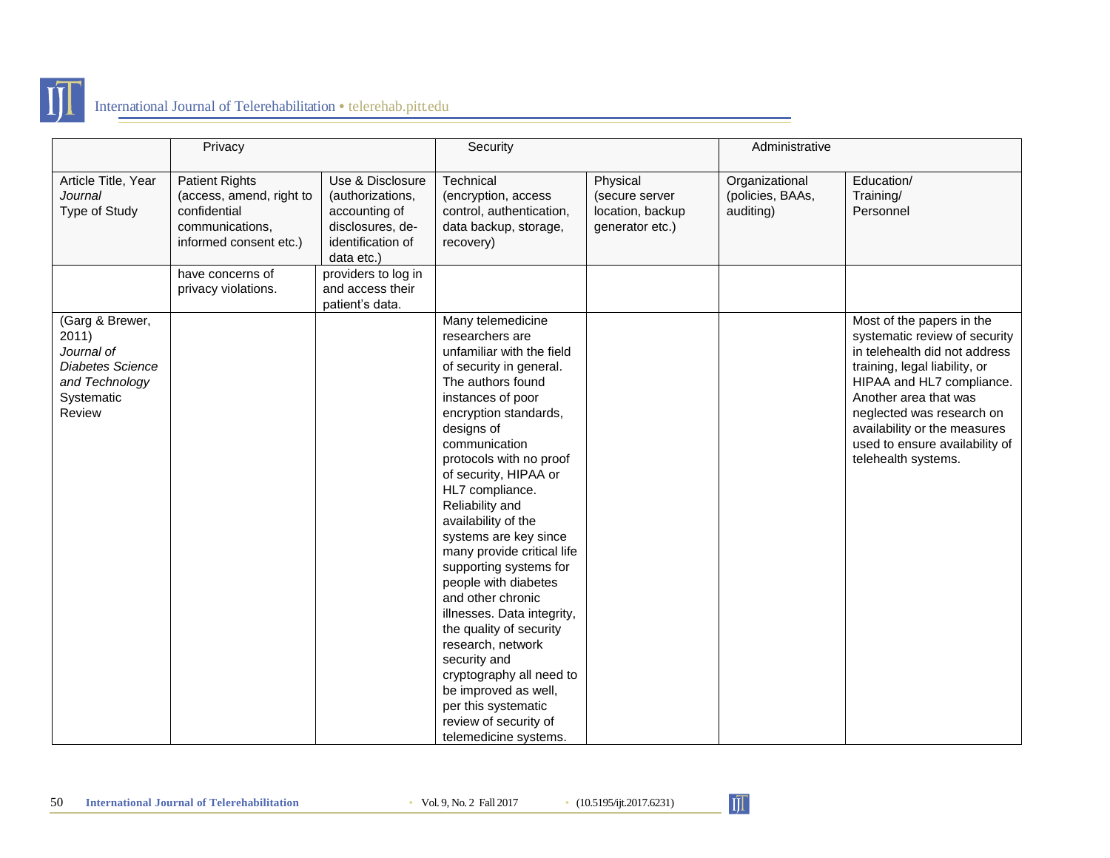

|                                                                                                             | Privacy                                                                                                        |                                                                                                              | Security                                                                                                                                                                                                                                                                                                                                                                                                                                                                                                                                                                                                                                                                 |                                                                   | Administrative                                  |                                                                                                                                                                                                                                                                                                          |
|-------------------------------------------------------------------------------------------------------------|----------------------------------------------------------------------------------------------------------------|--------------------------------------------------------------------------------------------------------------|--------------------------------------------------------------------------------------------------------------------------------------------------------------------------------------------------------------------------------------------------------------------------------------------------------------------------------------------------------------------------------------------------------------------------------------------------------------------------------------------------------------------------------------------------------------------------------------------------------------------------------------------------------------------------|-------------------------------------------------------------------|-------------------------------------------------|----------------------------------------------------------------------------------------------------------------------------------------------------------------------------------------------------------------------------------------------------------------------------------------------------------|
| Article Title, Year<br>Journal<br>Type of Study                                                             | <b>Patient Rights</b><br>(access, amend, right to<br>confidential<br>communications,<br>informed consent etc.) | Use & Disclosure<br>(authorizations,<br>accounting of<br>disclosures, de-<br>identification of<br>data etc.) | Technical<br>(encryption, access<br>control, authentication,<br>data backup, storage,<br>recovery)                                                                                                                                                                                                                                                                                                                                                                                                                                                                                                                                                                       | Physical<br>(secure server<br>location, backup<br>generator etc.) | Organizational<br>(policies, BAAs,<br>auditing) | Education/<br>Training/<br>Personnel                                                                                                                                                                                                                                                                     |
|                                                                                                             | have concerns of<br>privacy violations.                                                                        | providers to log in<br>and access their<br>patient's data.                                                   |                                                                                                                                                                                                                                                                                                                                                                                                                                                                                                                                                                                                                                                                          |                                                                   |                                                 |                                                                                                                                                                                                                                                                                                          |
| (Garg & Brewer,<br>2011)<br>Journal of<br><b>Diabetes Science</b><br>and Technology<br>Systematic<br>Review |                                                                                                                |                                                                                                              | Many telemedicine<br>researchers are<br>unfamiliar with the field<br>of security in general.<br>The authors found<br>instances of poor<br>encryption standards,<br>designs of<br>communication<br>protocols with no proof<br>of security, HIPAA or<br>HL7 compliance.<br>Reliability and<br>availability of the<br>systems are key since<br>many provide critical life<br>supporting systems for<br>people with diabetes<br>and other chronic<br>illnesses. Data integrity,<br>the quality of security<br>research, network<br>security and<br>cryptography all need to<br>be improved as well,<br>per this systematic<br>review of security of<br>telemedicine systems. |                                                                   |                                                 | Most of the papers in the<br>systematic review of security<br>in telehealth did not address<br>training, legal liability, or<br>HIPAA and HL7 compliance.<br>Another area that was<br>neglected was research on<br>availability or the measures<br>used to ensure availability of<br>telehealth systems. |

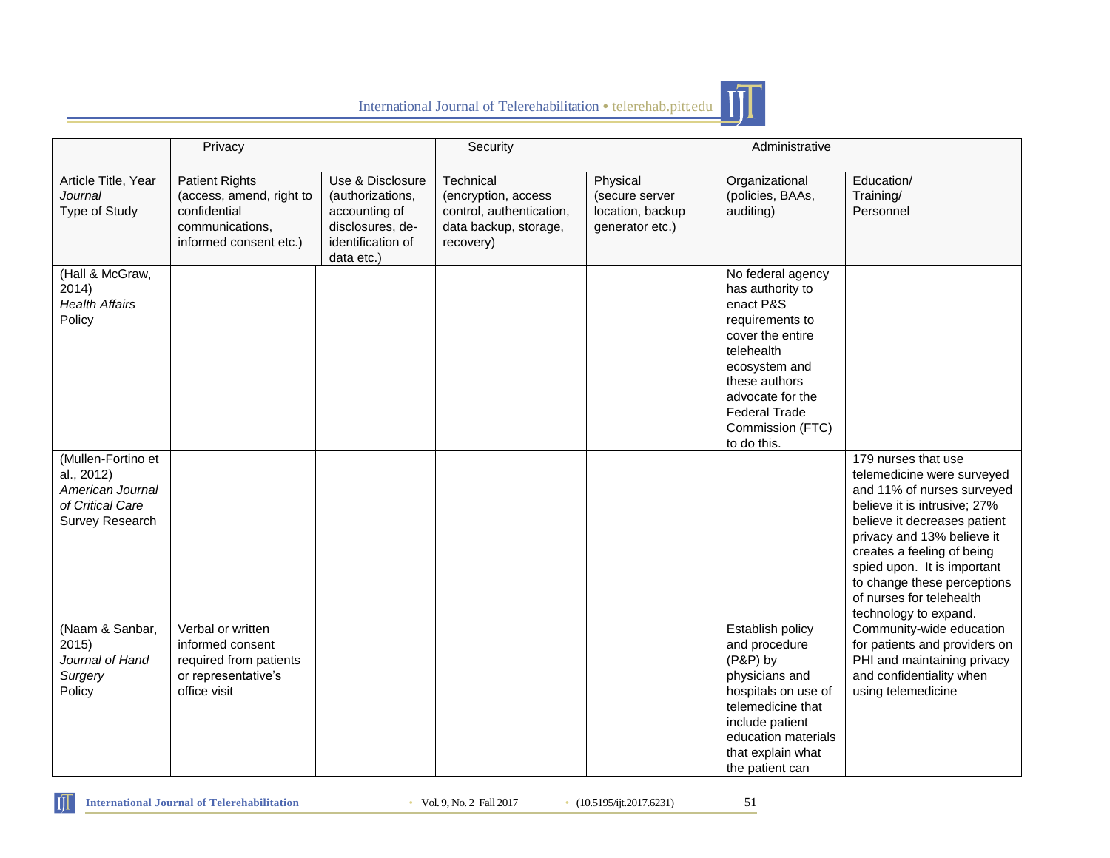

|                                                                                             | Privacy                                                                                                        |                                                                                                              | Security                                                                                           |                                                                   | Administrative                                                                                                                                                                                                           |                                                                                                                                                                                                                                                                                                                                |
|---------------------------------------------------------------------------------------------|----------------------------------------------------------------------------------------------------------------|--------------------------------------------------------------------------------------------------------------|----------------------------------------------------------------------------------------------------|-------------------------------------------------------------------|--------------------------------------------------------------------------------------------------------------------------------------------------------------------------------------------------------------------------|--------------------------------------------------------------------------------------------------------------------------------------------------------------------------------------------------------------------------------------------------------------------------------------------------------------------------------|
| Article Title, Year<br>Journal<br>Type of Study                                             | <b>Patient Rights</b><br>(access, amend, right to<br>confidential<br>communications,<br>informed consent etc.) | Use & Disclosure<br>(authorizations,<br>accounting of<br>disclosures, de-<br>identification of<br>data etc.) | Technical<br>(encryption, access<br>control, authentication,<br>data backup, storage,<br>recovery) | Physical<br>(secure server<br>location, backup<br>generator etc.) | Organizational<br>(policies, BAAs,<br>auditing)                                                                                                                                                                          | Education/<br>Training/<br>Personnel                                                                                                                                                                                                                                                                                           |
| (Hall & McGraw,<br>2014)<br><b>Health Affairs</b><br>Policy                                 |                                                                                                                |                                                                                                              |                                                                                                    |                                                                   | No federal agency<br>has authority to<br>enact P&S<br>requirements to<br>cover the entire<br>telehealth<br>ecosystem and<br>these authors<br>advocate for the<br><b>Federal Trade</b><br>Commission (FTC)<br>to do this. |                                                                                                                                                                                                                                                                                                                                |
| (Mullen-Fortino et<br>al., 2012)<br>American Journal<br>of Critical Care<br>Survey Research |                                                                                                                |                                                                                                              |                                                                                                    |                                                                   |                                                                                                                                                                                                                          | 179 nurses that use<br>telemedicine were surveyed<br>and 11% of nurses surveyed<br>believe it is intrusive; 27%<br>believe it decreases patient<br>privacy and 13% believe it<br>creates a feeling of being<br>spied upon. It is important<br>to change these perceptions<br>of nurses for telehealth<br>technology to expand. |
| (Naam & Sanbar,<br>2015)<br>Journal of Hand<br>Surgery<br>Policy                            | Verbal or written<br>informed consent<br>required from patients<br>or representative's<br>office visit         |                                                                                                              |                                                                                                    |                                                                   | Establish policy<br>and procedure<br>$(P&P)$ by<br>physicians and<br>hospitals on use of<br>telemedicine that<br>include patient<br>education materials<br>that explain what<br>the patient can                          | Community-wide education<br>for patients and providers on<br>PHI and maintaining privacy<br>and confidentiality when<br>using telemedicine                                                                                                                                                                                     |

- IJI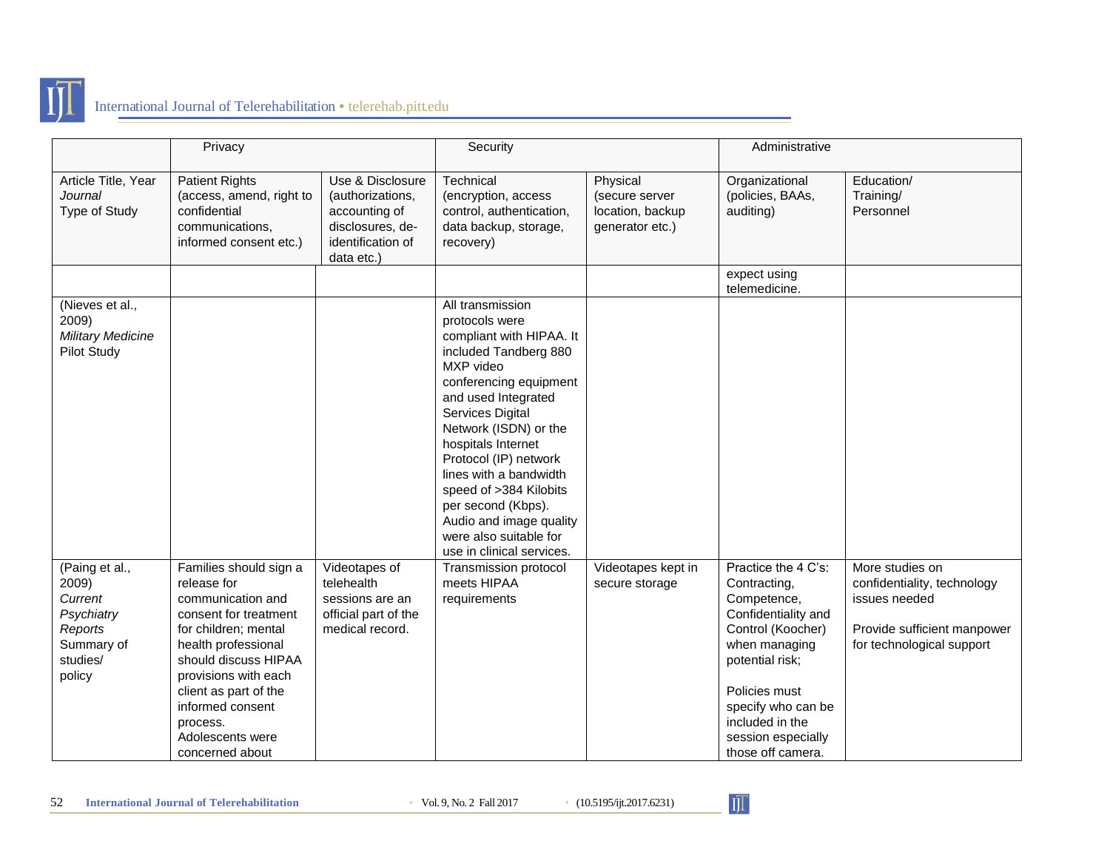

|                                                                                                 | Privacy                                                                                                                                                                                                                                                                            |                                                                                                              | Security                                                                                                                                                                                                                                                                                                                                                                                                      |                                                                   | Administrative                                                                                                                                                                                                                          |                                                                                                                             |
|-------------------------------------------------------------------------------------------------|------------------------------------------------------------------------------------------------------------------------------------------------------------------------------------------------------------------------------------------------------------------------------------|--------------------------------------------------------------------------------------------------------------|---------------------------------------------------------------------------------------------------------------------------------------------------------------------------------------------------------------------------------------------------------------------------------------------------------------------------------------------------------------------------------------------------------------|-------------------------------------------------------------------|-----------------------------------------------------------------------------------------------------------------------------------------------------------------------------------------------------------------------------------------|-----------------------------------------------------------------------------------------------------------------------------|
| Article Title, Year<br>Journal<br>Type of Study                                                 | <b>Patient Rights</b><br>(access, amend, right to<br>confidential<br>communications,<br>informed consent etc.)                                                                                                                                                                     | Use & Disclosure<br>(authorizations,<br>accounting of<br>disclosures, de-<br>identification of<br>data etc.) | Technical<br>(encryption, access<br>control, authentication,<br>data backup, storage,<br>recovery)                                                                                                                                                                                                                                                                                                            | Physical<br>(secure server<br>location, backup<br>generator etc.) | Organizational<br>(policies, BAAs,<br>auditing)                                                                                                                                                                                         | Education/<br>Training/<br>Personnel                                                                                        |
|                                                                                                 |                                                                                                                                                                                                                                                                                    |                                                                                                              |                                                                                                                                                                                                                                                                                                                                                                                                               |                                                                   | expect using<br>telemedicine.                                                                                                                                                                                                           |                                                                                                                             |
| (Nieves et al.,<br>2009)<br><b>Military Medicine</b><br>Pilot Study                             |                                                                                                                                                                                                                                                                                    |                                                                                                              | All transmission<br>protocols were<br>compliant with HIPAA. It<br>included Tandberg 880<br>MXP video<br>conferencing equipment<br>and used Integrated<br>Services Digital<br>Network (ISDN) or the<br>hospitals Internet<br>Protocol (IP) network<br>lines with a bandwidth<br>speed of >384 Kilobits<br>per second (Kbps).<br>Audio and image quality<br>were also suitable for<br>use in clinical services. |                                                                   |                                                                                                                                                                                                                                         |                                                                                                                             |
| (Paing et al.,<br>2009)<br>Current<br>Psychiatry<br>Reports<br>Summary of<br>studies/<br>policy | Families should sign a<br>release for<br>communication and<br>consent for treatment<br>for children; mental<br>health professional<br>should discuss HIPAA<br>provisions with each<br>client as part of the<br>informed consent<br>process.<br>Adolescents were<br>concerned about | Videotapes of<br>telehealth<br>sessions are an<br>official part of the<br>medical record.                    | Transmission protocol<br>meets HIPAA<br>requirements                                                                                                                                                                                                                                                                                                                                                          | Videotapes kept in<br>secure storage                              | Practice the 4 C's:<br>Contracting,<br>Competence,<br>Confidentiality and<br>Control (Koocher)<br>when managing<br>potential risk;<br>Policies must<br>specify who can be<br>included in the<br>session especially<br>those off camera. | More studies on<br>confidentiality, technology<br>issues needed<br>Provide sufficient manpower<br>for technological support |

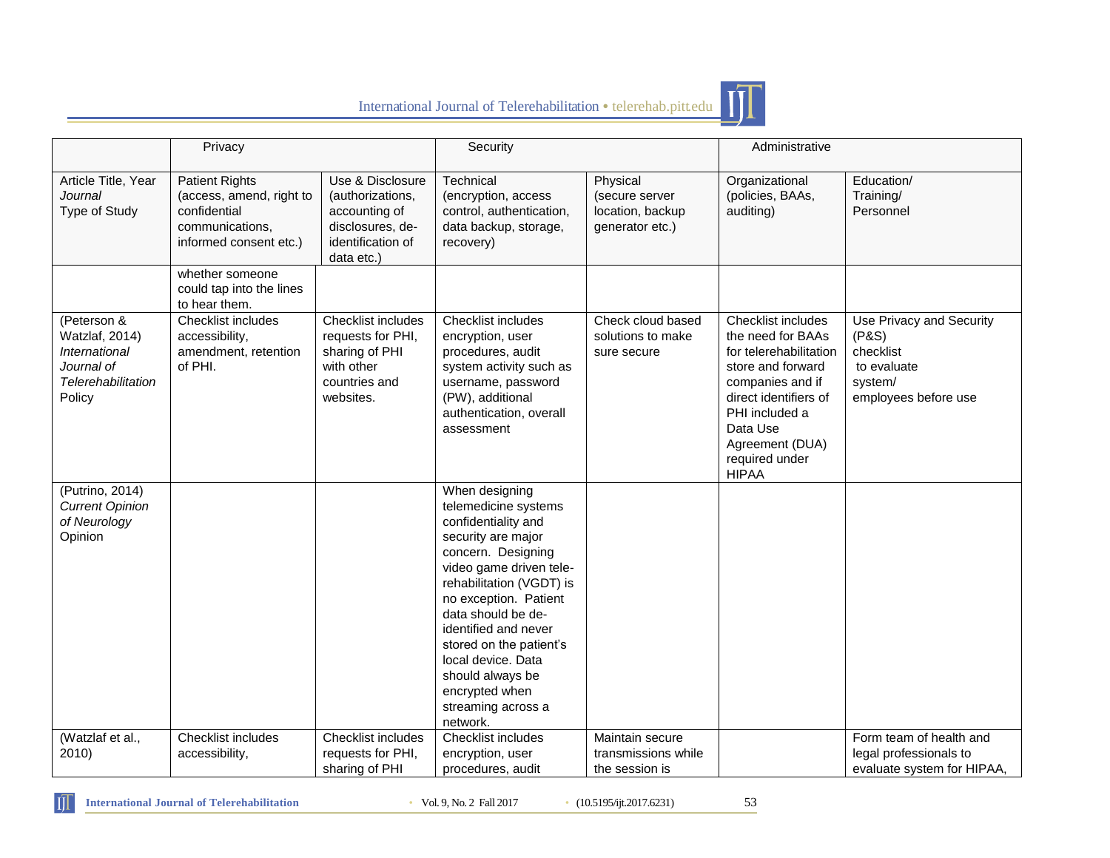



|                                                                                                            | Privacy                                                                                                        |                                                                                                              | Security                                                                                                                                                                                                                                                                                                                                                         |                                                                   | Administrative                                                                                                                                                                                                         |                                                                                                  |
|------------------------------------------------------------------------------------------------------------|----------------------------------------------------------------------------------------------------------------|--------------------------------------------------------------------------------------------------------------|------------------------------------------------------------------------------------------------------------------------------------------------------------------------------------------------------------------------------------------------------------------------------------------------------------------------------------------------------------------|-------------------------------------------------------------------|------------------------------------------------------------------------------------------------------------------------------------------------------------------------------------------------------------------------|--------------------------------------------------------------------------------------------------|
| Article Title, Year<br>Journal<br>Type of Study                                                            | <b>Patient Rights</b><br>(access, amend, right to<br>confidential<br>communications.<br>informed consent etc.) | Use & Disclosure<br>(authorizations,<br>accounting of<br>disclosures, de-<br>identification of<br>data etc.) | Technical<br>(encryption, access<br>control, authentication,<br>data backup, storage,<br>recovery)                                                                                                                                                                                                                                                               | Physical<br>(secure server<br>location, backup<br>generator etc.) | Organizational<br>(policies, BAAs,<br>auditing)                                                                                                                                                                        | Education/<br>Training/<br>Personnel                                                             |
|                                                                                                            | whether someone<br>could tap into the lines<br>to hear them.                                                   |                                                                                                              |                                                                                                                                                                                                                                                                                                                                                                  |                                                                   |                                                                                                                                                                                                                        |                                                                                                  |
| (Peterson &<br>Watzlaf, 2014)<br><i><b>International</b></i><br>Journal of<br>Telerehabilitation<br>Policy | Checklist includes<br>accessibility,<br>amendment, retention<br>of PHI.                                        | Checklist includes<br>requests for PHI,<br>sharing of PHI<br>with other<br>countries and<br>websites.        | <b>Checklist includes</b><br>encryption, user<br>procedures, audit<br>system activity such as<br>username, password<br>(PW), additional<br>authentication, overall<br>assessment                                                                                                                                                                                 | Check cloud based<br>solutions to make<br>sure secure             | Checklist includes<br>the need for BAAs<br>for telerehabilitation<br>store and forward<br>companies and if<br>direct identifiers of<br>PHI included a<br>Data Use<br>Agreement (DUA)<br>required under<br><b>HIPAA</b> | Use Privacy and Security<br>(PAS)<br>checklist<br>to evaluate<br>system/<br>employees before use |
| (Putrino, 2014)<br><b>Current Opinion</b><br>of Neurology<br>Opinion                                       |                                                                                                                |                                                                                                              | When designing<br>telemedicine systems<br>confidentiality and<br>security are major<br>concern. Designing<br>video game driven tele-<br>rehabilitation (VGDT) is<br>no exception. Patient<br>data should be de-<br>identified and never<br>stored on the patient's<br>local device. Data<br>should always be<br>encrypted when<br>streaming across a<br>network. |                                                                   |                                                                                                                                                                                                                        |                                                                                                  |
| (Watzlaf et al.,<br>2010)                                                                                  | <b>Checklist includes</b><br>accessibility,                                                                    | Checklist includes<br>requests for PHI,<br>sharing of PHI                                                    | Checklist includes<br>encryption, user<br>procedures, audit                                                                                                                                                                                                                                                                                                      | Maintain secure<br>transmissions while<br>the session is          |                                                                                                                                                                                                                        | Form team of health and<br>legal professionals to<br>evaluate system for HIPAA,                  |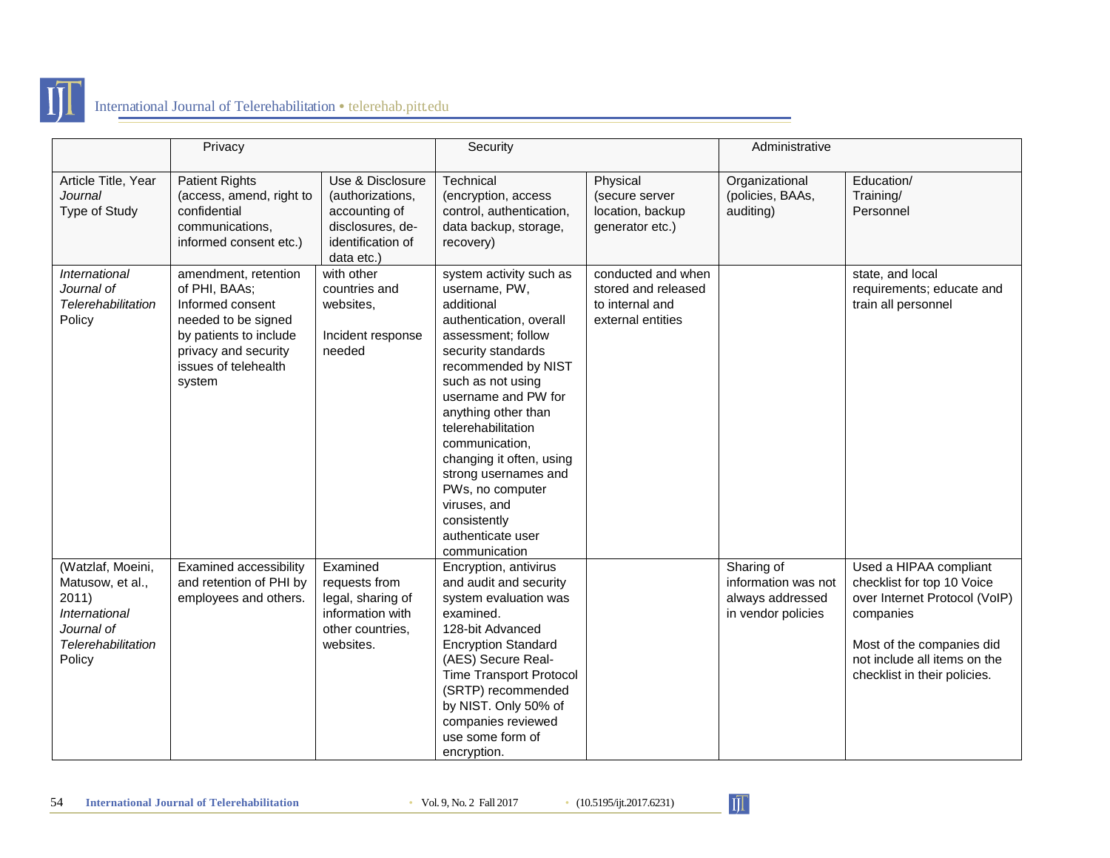

|                                                                                                                             | Privacy                                                                                                                                                              |                                                                                                              | Security                                                                                                                                                                                                                                                                                                                                                                                                      |                                                                                   | Administrative                                                              |                                                                                                                                                                                                 |
|-----------------------------------------------------------------------------------------------------------------------------|----------------------------------------------------------------------------------------------------------------------------------------------------------------------|--------------------------------------------------------------------------------------------------------------|---------------------------------------------------------------------------------------------------------------------------------------------------------------------------------------------------------------------------------------------------------------------------------------------------------------------------------------------------------------------------------------------------------------|-----------------------------------------------------------------------------------|-----------------------------------------------------------------------------|-------------------------------------------------------------------------------------------------------------------------------------------------------------------------------------------------|
| Article Title, Year<br>Journal<br>Type of Study                                                                             | <b>Patient Rights</b><br>(access, amend, right to<br>confidential<br>communications,<br>informed consent etc.)                                                       | Use & Disclosure<br>(authorizations,<br>accounting of<br>disclosures, de-<br>identification of<br>data etc.) | Technical<br>(encryption, access<br>control, authentication,<br>data backup, storage,<br>recovery)                                                                                                                                                                                                                                                                                                            | Physical<br>(secure server<br>location, backup<br>generator etc.)                 | Organizational<br>(policies, BAAs,<br>auditing)                             | Education/<br>Training/<br>Personnel                                                                                                                                                            |
| International<br>Journal of<br>Telerehabilitation<br>Policy                                                                 | amendment, retention<br>of PHI, BAAs;<br>Informed consent<br>needed to be signed<br>by patients to include<br>privacy and security<br>issues of telehealth<br>system | with other<br>countries and<br>websites,<br>Incident response<br>needed                                      | system activity such as<br>username, PW,<br>additional<br>authentication, overall<br>assessment; follow<br>security standards<br>recommended by NIST<br>such as not using<br>username and PW for<br>anything other than<br>telerehabilitation<br>communication,<br>changing it often, using<br>strong usernames and<br>PWs, no computer<br>viruses, and<br>consistently<br>authenticate user<br>communication | conducted and when<br>stored and released<br>to internal and<br>external entities |                                                                             | state, and local<br>requirements; educate and<br>train all personnel                                                                                                                            |
| (Watzlaf, Moeini,<br>Matusow, et al.,<br>2011)<br><i><b>International</b></i><br>Journal of<br>Telerehabilitation<br>Policy | Examined accessibility<br>and retention of PHI by<br>employees and others.                                                                                           | Examined<br>requests from<br>legal, sharing of<br>information with<br>other countries,<br>websites.          | Encryption, antivirus<br>and audit and security<br>system evaluation was<br>examined.<br>128-bit Advanced<br><b>Encryption Standard</b><br>(AES) Secure Real-<br><b>Time Transport Protocol</b><br>(SRTP) recommended<br>by NIST. Only 50% of<br>companies reviewed<br>use some form of<br>encryption.                                                                                                        |                                                                                   | Sharing of<br>information was not<br>always addressed<br>in vendor policies | Used a HIPAA compliant<br>checklist for top 10 Voice<br>over Internet Protocol (VoIP)<br>companies<br>Most of the companies did<br>not include all items on the<br>checklist in their policies. |

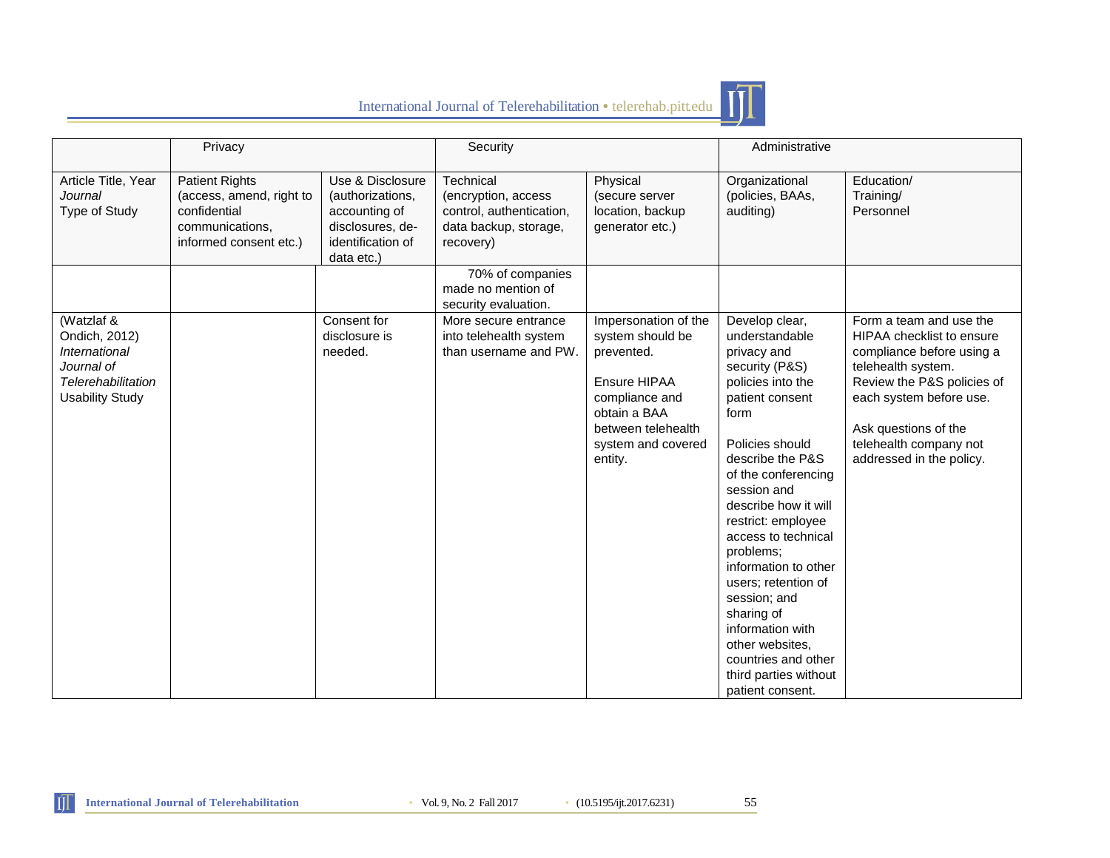



|                                                                                                                          | Privacy                                                                                                        |                                                                                                              | Security                                                                                                               |                                                                                                                                                                 | Administrative                                                                                                                                                                                                                                                                                                                                                                                                              |                                                                                                                                                                                                                                                       |
|--------------------------------------------------------------------------------------------------------------------------|----------------------------------------------------------------------------------------------------------------|--------------------------------------------------------------------------------------------------------------|------------------------------------------------------------------------------------------------------------------------|-----------------------------------------------------------------------------------------------------------------------------------------------------------------|-----------------------------------------------------------------------------------------------------------------------------------------------------------------------------------------------------------------------------------------------------------------------------------------------------------------------------------------------------------------------------------------------------------------------------|-------------------------------------------------------------------------------------------------------------------------------------------------------------------------------------------------------------------------------------------------------|
| Article Title, Year<br>Journal<br><b>Type of Study</b>                                                                   | <b>Patient Rights</b><br>(access, amend, right to<br>confidential<br>communications,<br>informed consent etc.) | Use & Disclosure<br>(authorizations,<br>accounting of<br>disclosures, de-<br>identification of<br>data etc.) | Technical<br>(encryption, access<br>control, authentication,<br>data backup, storage,<br>recovery)<br>70% of companies | Physical<br>(secure server<br>location, backup<br>generator etc.)                                                                                               | Organizational<br>(policies, BAAs,<br>auditing)                                                                                                                                                                                                                                                                                                                                                                             | Education/<br>Training/<br>Personnel                                                                                                                                                                                                                  |
| (Watzlaf &<br>Ondich, 2012)<br><i><b>International</b></i><br>Journal of<br>Telerehabilitation<br><b>Usability Study</b> |                                                                                                                | Consent for<br>disclosure is<br>needed.                                                                      | made no mention of<br>security evaluation.<br>More secure entrance<br>into telehealth system<br>than username and PW.  | Impersonation of the<br>system should be<br>prevented.<br>Ensure HIPAA<br>compliance and<br>obtain a BAA<br>between telehealth<br>system and covered<br>entity. | Develop clear,<br>understandable<br>privacy and<br>security (P&S)<br>policies into the<br>patient consent<br>form<br>Policies should<br>describe the P&S<br>of the conferencing<br>session and<br>describe how it will<br>restrict: employee<br>access to technical<br>problems;<br>information to other<br>users; retention of<br>session; and<br>sharing of<br>information with<br>other websites,<br>countries and other | Form a team and use the<br><b>HIPAA</b> checklist to ensure<br>compliance before using a<br>telehealth system.<br>Review the P&S policies of<br>each system before use.<br>Ask questions of the<br>telehealth company not<br>addressed in the policy. |
|                                                                                                                          |                                                                                                                |                                                                                                              |                                                                                                                        |                                                                                                                                                                 | third parties without<br>patient consent.                                                                                                                                                                                                                                                                                                                                                                                   |                                                                                                                                                                                                                                                       |

- IJI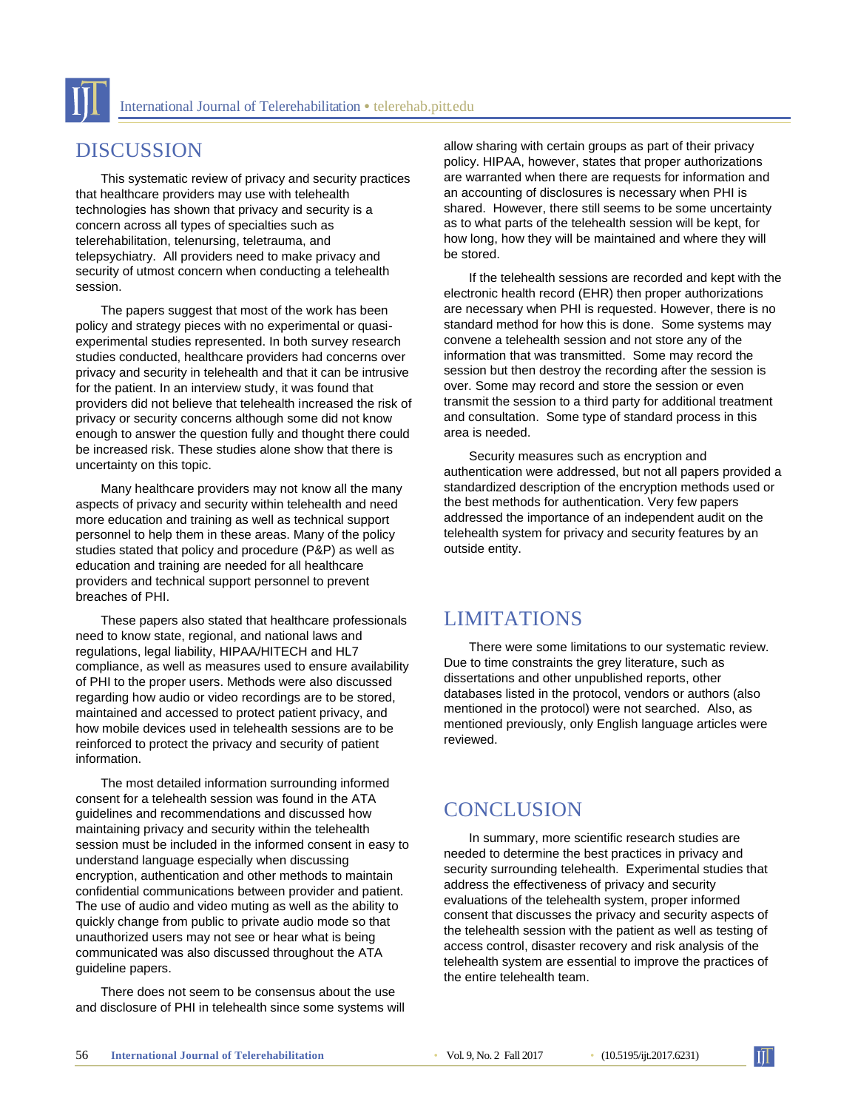## DISCUSSION

This systematic review of privacy and security practices that healthcare providers may use with telehealth technologies has shown that privacy and security is a concern across all types of specialties such as telerehabilitation, telenursing, teletrauma, and telepsychiatry. All providers need to make privacy and security of utmost concern when conducting a telehealth session.

The papers suggest that most of the work has been policy and strategy pieces with no experimental or quasiexperimental studies represented. In both survey research studies conducted, healthcare providers had concerns over privacy and security in telehealth and that it can be intrusive for the patient. In an interview study, it was found that providers did not believe that telehealth increased the risk of privacy or security concerns although some did not know enough to answer the question fully and thought there could be increased risk. These studies alone show that there is uncertainty on this topic.

Many healthcare providers may not know all the many aspects of privacy and security within telehealth and need more education and training as well as technical support personnel to help them in these areas. Many of the policy studies stated that policy and procedure (P&P) as well as education and training are needed for all healthcare providers and technical support personnel to prevent breaches of PHI.

These papers also stated that healthcare professionals need to know state, regional, and national laws and regulations, legal liability, HIPAA/HITECH and HL7 compliance, as well as measures used to ensure availability of PHI to the proper users. Methods were also discussed regarding how audio or video recordings are to be stored, maintained and accessed to protect patient privacy, and how mobile devices used in telehealth sessions are to be reinforced to protect the privacy and security of patient information.

The most detailed information surrounding informed consent for a telehealth session was found in the ATA guidelines and recommendations and discussed how maintaining privacy and security within the telehealth session must be included in the informed consent in easy to understand language especially when discussing encryption, authentication and other methods to maintain confidential communications between provider and patient. The use of audio and video muting as well as the ability to quickly change from public to private audio mode so that unauthorized users may not see or hear what is being communicated was also discussed throughout the ATA guideline papers.

There does not seem to be consensus about the use and disclosure of PHI in telehealth since some systems will allow sharing with certain groups as part of their privacy policy. HIPAA, however, states that proper authorizations are warranted when there are requests for information and an accounting of disclosures is necessary when PHI is shared. However, there still seems to be some uncertainty as to what parts of the telehealth session will be kept, for how long, how they will be maintained and where they will be stored.

If the telehealth sessions are recorded and kept with the electronic health record (EHR) then proper authorizations are necessary when PHI is requested. However, there is no standard method for how this is done. Some systems may convene a telehealth session and not store any of the information that was transmitted. Some may record the session but then destroy the recording after the session is over. Some may record and store the session or even transmit the session to a third party for additional treatment and consultation. Some type of standard process in this area is needed.

Security measures such as encryption and authentication were addressed, but not all papers provided a standardized description of the encryption methods used or the best methods for authentication. Very few papers addressed the importance of an independent audit on the telehealth system for privacy and security features by an outside entity.

## LIMITATIONS

There were some limitations to our systematic review. Due to time constraints the grey literature, such as dissertations and other unpublished reports, other databases listed in the protocol, vendors or authors (also mentioned in the protocol) were not searched. Also, as mentioned previously, only English language articles were reviewed.

## **CONCLUSION**

In summary, more scientific research studies are needed to determine the best practices in privacy and security surrounding telehealth. Experimental studies that address the effectiveness of privacy and security evaluations of the telehealth system, proper informed consent that discusses the privacy and security aspects of the telehealth session with the patient as well as testing of access control, disaster recovery and risk analysis of the telehealth system are essential to improve the practices of the entire telehealth team.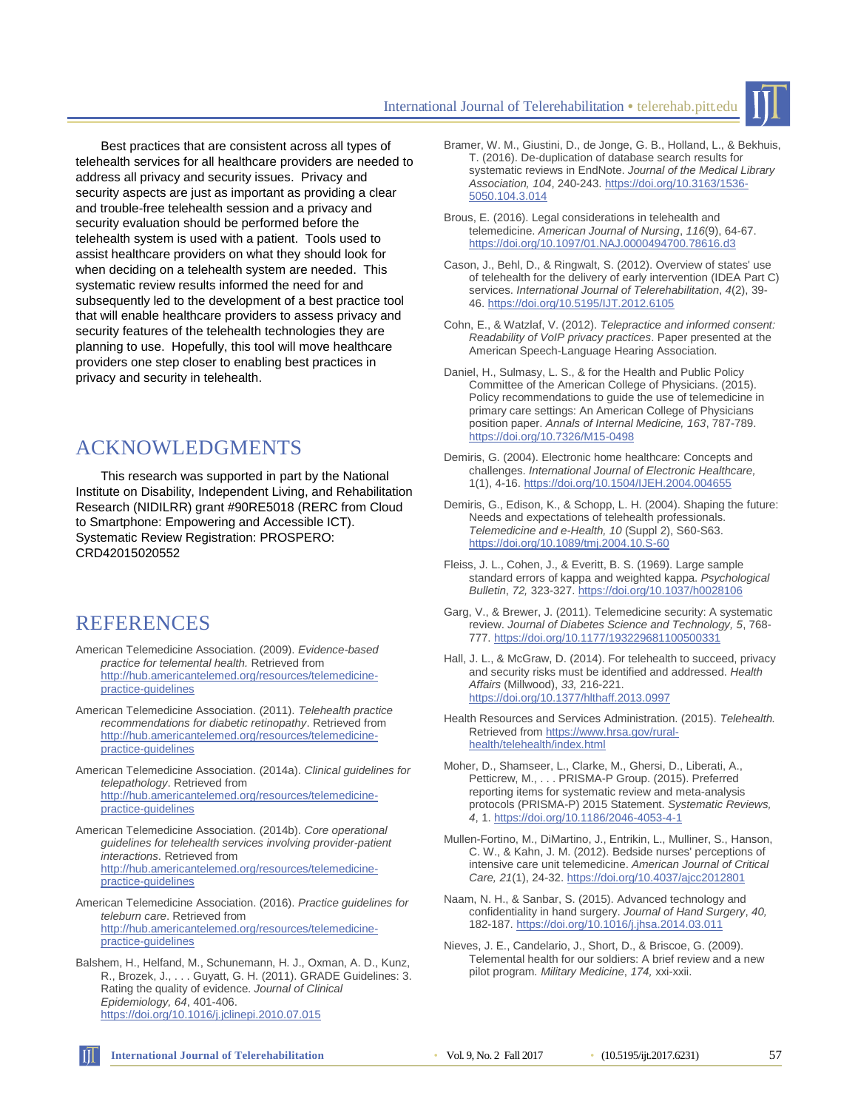

Best practices that are consistent across all types of telehealth services for all healthcare providers are needed to address all privacy and security issues. Privacy and security aspects are just as important as providing a clear and trouble-free telehealth session and a privacy and security evaluation should be performed before the telehealth system is used with a patient. Tools used to assist healthcare providers on what they should look for when deciding on a telehealth system are needed. This systematic review results informed the need for and subsequently led to the development of a best practice tool that will enable healthcare providers to assess privacy and security features of the telehealth technologies they are planning to use. Hopefully, this tool will move healthcare providers one step closer to enabling best practices in privacy and security in telehealth.

### ACKNOWLEDGMENTS

This research was supported in part by the National Institute on Disability, Independent Living, and Rehabilitation Research (NIDILRR) grant #90RE5018 (RERC from Cloud to Smartphone: Empowering and Accessible ICT). Systematic Review Registration: PROSPERO: CRD42015020552

### REFERENCES

- American Telemedicine Association. (2009). *Evidence-based practice for telemental health.* Retrieved from [http://hub.americantelemed.org/resources/telemedicine](http://hub.americantelemed.org/resources/telemedicine-practice-guidelines)[practice-guidelines](http://hub.americantelemed.org/resources/telemedicine-practice-guidelines)
- American Telemedicine Association. (2011). *Telehealth practice recommendations for diabetic retinopathy*. Retrieved from [http://hub.americantelemed.org/resources/telemedicine](http://hub.americantelemed.org/resources/telemedicine-practice-guidelines)[practice-guidelines](http://hub.americantelemed.org/resources/telemedicine-practice-guidelines)
- American Telemedicine Association. (2014a). *Clinical guidelines for telepathology*. Retrieved from [http://hub.americantelemed.org/resources/telemedicine](http://hub.americantelemed.org/resources/telemedicine-practice-guidelines)[practice-guidelines](http://hub.americantelemed.org/resources/telemedicine-practice-guidelines)
- American Telemedicine Association. (2014b). *Core operational guidelines for telehealth services involving provider-patient interactions*. Retrieved from [http://hub.americantelemed.org/resources/telemedicine](http://hub.americantelemed.org/resources/telemedicine-practice-guidelines)[practice-guidelines](http://hub.americantelemed.org/resources/telemedicine-practice-guidelines)
- American Telemedicine Association. (2016). *Practice guidelines for teleburn care*. Retrieved from [http://hub.americantelemed.org/resources/telemedicine](http://hub.americantelemed.org/resources/telemedicine-practice-guidelines)[practice-guidelines](http://hub.americantelemed.org/resources/telemedicine-practice-guidelines)
- Balshem, H., Helfand, M., Schunemann, H. J., Oxman, A. D., Kunz, R., Brozek, J., . . . Guyatt, G. H. (2011). GRADE Guidelines: 3. Rating the quality of evidence. *Journal of Clinical Epidemiology, 64*, 401-406. <https://doi.org/10.1016/j.jclinepi.2010.07.015>
- Bramer, W. M., Giustini, D., de Jonge, G. B., Holland, L., & Bekhuis, T. (2016). De-duplication of database search results for systematic reviews in EndNote. *Journal of the Medical Library Association, 104*, 240-243. [https://doi.org/10.3163/1536-](https://doi.org/10.3163/1536-5050.104.3.014) [5050.104.3.014](https://doi.org/10.3163/1536-5050.104.3.014)
- Brous, E. (2016). Legal considerations in telehealth and telemedicine. *American Journal of Nursing*, *116*(9), 64-67. <https://doi.org/10.1097/01.NAJ.0000494700.78616.d3>
- Cason, J., Behl, D., & Ringwalt, S. (2012). Overview of states' use of telehealth for the delivery of early intervention (IDEA Part C) services. *International Journal of Telerehabilitation*, *4*(2), 39- 46.<https://doi.org/10.5195/IJT.2012.6105>
- Cohn, E., & Watzlaf, V. (2012). *Telepractice and informed consent: Readability of VoIP privacy practices*. Paper presented at the American Speech-Language Hearing Association.
- Daniel, H., Sulmasy, L. S., & for the Health and Public Policy Committee of the American College of Physicians. (2015). Policy recommendations to guide the use of telemedicine in primary care settings: An American College of Physicians position paper. *Annals of Internal Medicine, 163*, 787-789. <https://doi.org/10.7326/M15-0498>
- Demiris, G. (2004). Electronic home healthcare: Concepts and challenges. *International Journal of Electronic Healthcare,* 1(1), 4-16.<https://doi.org/10.1504/IJEH.2004.004655>
- Demiris, G., Edison, K., & Schopp, L. H. (2004). Shaping the future: Needs and expectations of telehealth professionals. *Telemedicine and e-Health, 10* (Suppl 2), S60-S63. <https://doi.org/10.1089/tmj.2004.10.S-60>
- Fleiss, J. L., Cohen, J., & Everitt, B. S. (1969). Large sample standard errors of kappa and weighted kappa. *Psychological Bulletin*, *72,* 323-327[. https://doi.org/10.1037/h0028106](https://doi.org/10.1037/h0028106)
- Garg, V., & Brewer, J. (2011). Telemedicine security: A systematic review. *Journal of Diabetes Science and Technology, 5*, 768- 777[. https://doi.org/10.1177/193229681100500331](https://doi.org/10.1177/193229681100500331)
- Hall, J. L., & McGraw, D. (2014). For telehealth to succeed, privacy and security risks must be identified and addressed. *Health Affairs* (Millwood), *33,* 216-221. <https://doi.org/10.1377/hlthaff.2013.0997>
- Health Resources and Services Administration. (2015). *Telehealth.* Retrieved fro[m https://www.hrsa.gov/rural](https://www.hrsa.gov/rural-health/telehealth/index.html)[health/telehealth/index.html](https://www.hrsa.gov/rural-health/telehealth/index.html)
- Moher, D., Shamseer, L., Clarke, M., Ghersi, D., Liberati, A., Petticrew, M., . . . PRISMA-P Group. (2015). Preferred reporting items for systematic review and meta-analysis protocols (PRISMA-P) 2015 Statement. *Systematic Reviews, 4*, 1[. https://doi.org/10.1186/2046-4053-4-1](https://doi.org/10.1186/2046-4053-4-1)
- Mullen-Fortino, M., DiMartino, J., Entrikin, L., Mulliner, S., Hanson, C. W., & Kahn, J. M. (2012). Bedside nurses' perceptions of intensive care unit telemedicine. *American Journal of Critical Care, 21*(1), 24-32[. https://doi.org/10.4037/ajcc2012801](https://doi.org/10.4037/ajcc2012801)
- Naam, N. H., & Sanbar, S. (2015). Advanced technology and confidentiality in hand surgery. *Journal of Hand Surgery*, *40,* 182-187[. https://doi.org/10.1016/j.jhsa.2014.03.011](https://doi.org/10.1016/j.jhsa.2014.03.011)
- Nieves, J. E., Candelario, J., Short, D., & Briscoe, G. (2009). Telemental health for our soldiers: A brief review and a new pilot program*. Military Medicine*, *174,* xxi-xxii.